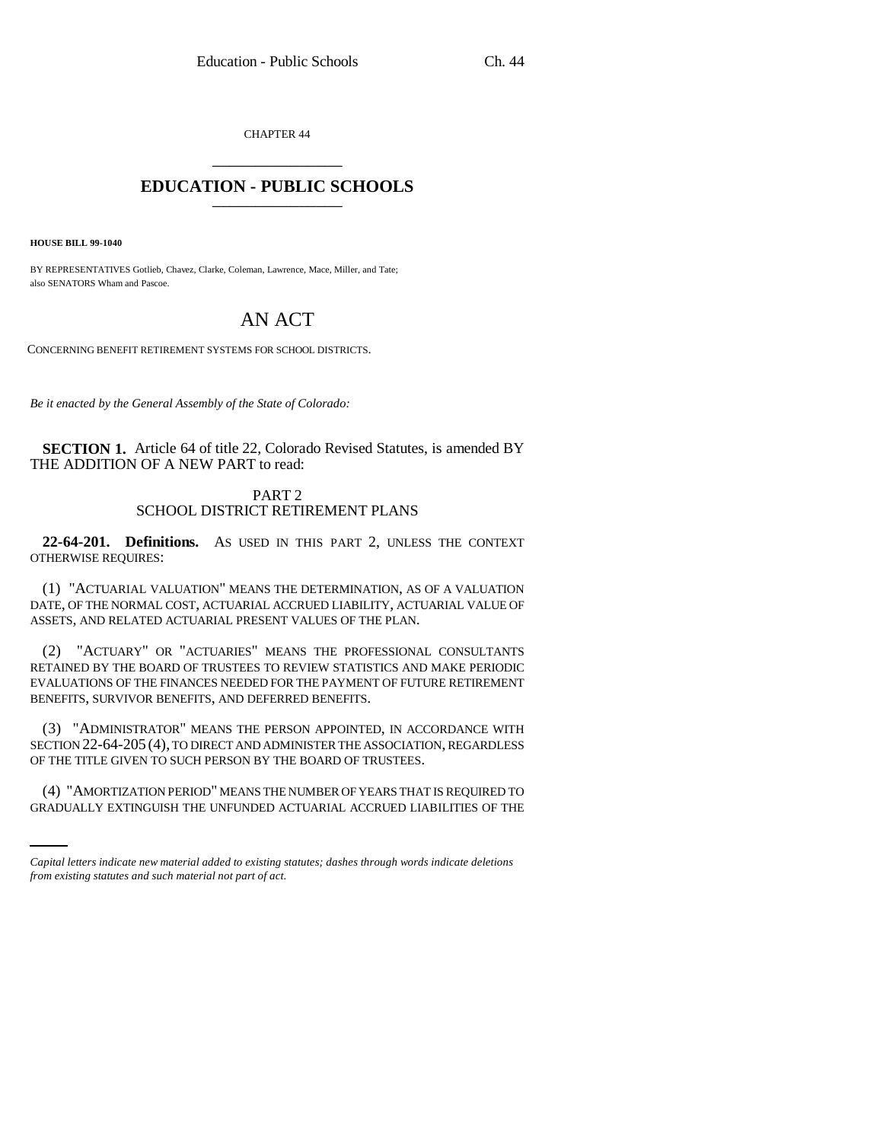CHAPTER 44 \_\_\_\_\_\_\_\_\_\_\_\_\_\_\_

## **EDUCATION - PUBLIC SCHOOLS** \_\_\_\_\_\_\_\_\_\_\_\_\_\_\_

**HOUSE BILL 99-1040** 

BY REPRESENTATIVES Gotlieb, Chavez, Clarke, Coleman, Lawrence, Mace, Miller, and Tate; also SENATORS Wham and Pascoe.

# AN ACT

CONCERNING BENEFIT RETIREMENT SYSTEMS FOR SCHOOL DISTRICTS.

*Be it enacted by the General Assembly of the State of Colorado:*

**SECTION 1.** Article 64 of title 22, Colorado Revised Statutes, is amended BY THE ADDITION OF A NEW PART to read:

### PART 2 SCHOOL DISTRICT RETIREMENT PLANS

**22-64-201. Definitions.** AS USED IN THIS PART 2, UNLESS THE CONTEXT OTHERWISE REQUIRES:

(1) "ACTUARIAL VALUATION" MEANS THE DETERMINATION, AS OF A VALUATION DATE, OF THE NORMAL COST, ACTUARIAL ACCRUED LIABILITY, ACTUARIAL VALUE OF ASSETS, AND RELATED ACTUARIAL PRESENT VALUES OF THE PLAN.

(2) "ACTUARY" OR "ACTUARIES" MEANS THE PROFESSIONAL CONSULTANTS RETAINED BY THE BOARD OF TRUSTEES TO REVIEW STATISTICS AND MAKE PERIODIC EVALUATIONS OF THE FINANCES NEEDED FOR THE PAYMENT OF FUTURE RETIREMENT BENEFITS, SURVIVOR BENEFITS, AND DEFERRED BENEFITS.

OF THE TITLE GIVEN TO SUCH PERSON BY THE BOARD OF TRUSTEES. (3) "ADMINISTRATOR" MEANS THE PERSON APPOINTED, IN ACCORDANCE WITH SECTION 22-64-205 (4), TO DIRECT AND ADMINISTER THE ASSOCIATION, REGARDLESS

(4) "AMORTIZATION PERIOD" MEANS THE NUMBER OF YEARS THAT IS REQUIRED TO GRADUALLY EXTINGUISH THE UNFUNDED ACTUARIAL ACCRUED LIABILITIES OF THE

*Capital letters indicate new material added to existing statutes; dashes through words indicate deletions from existing statutes and such material not part of act.*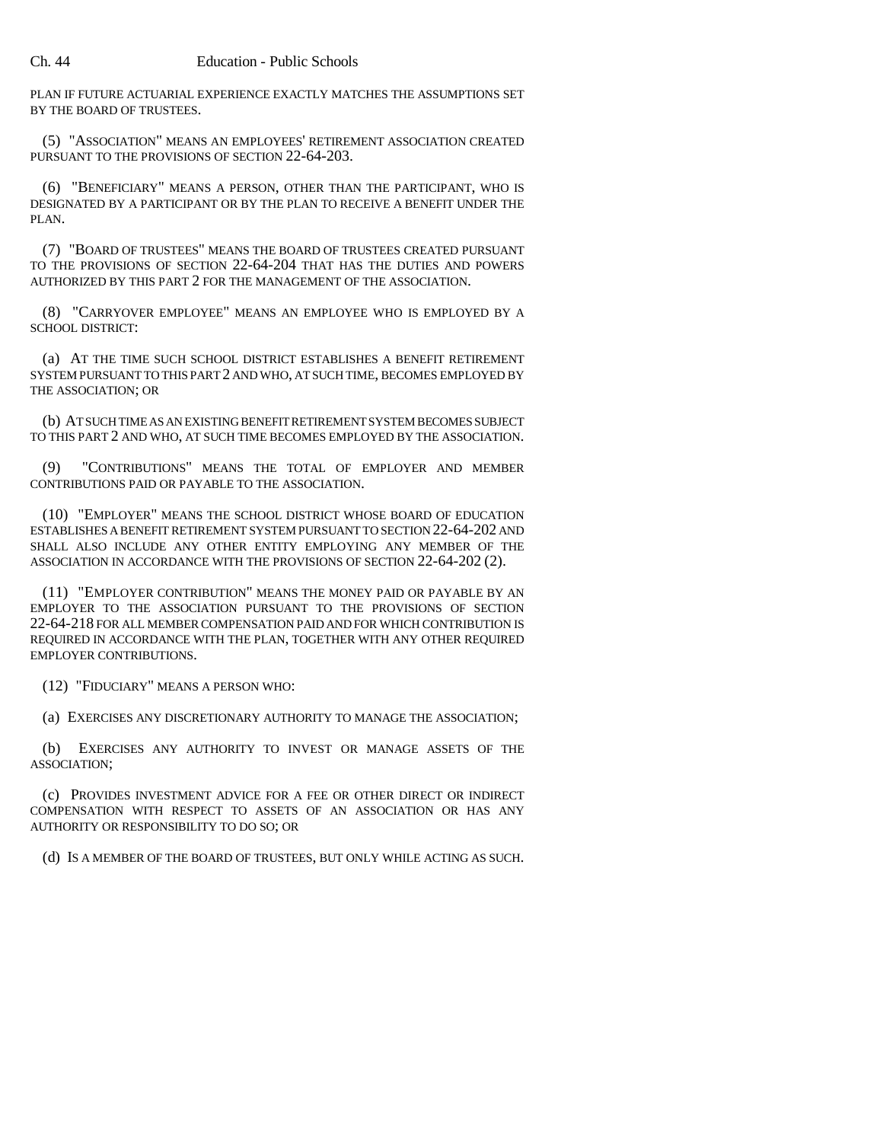PLAN IF FUTURE ACTUARIAL EXPERIENCE EXACTLY MATCHES THE ASSUMPTIONS SET BY THE BOARD OF TRUSTEES.

(5) "ASSOCIATION" MEANS AN EMPLOYEES' RETIREMENT ASSOCIATION CREATED PURSUANT TO THE PROVISIONS OF SECTION 22-64-203.

(6) "BENEFICIARY" MEANS A PERSON, OTHER THAN THE PARTICIPANT, WHO IS DESIGNATED BY A PARTICIPANT OR BY THE PLAN TO RECEIVE A BENEFIT UNDER THE PLAN.

(7) "BOARD OF TRUSTEES" MEANS THE BOARD OF TRUSTEES CREATED PURSUANT TO THE PROVISIONS OF SECTION 22-64-204 THAT HAS THE DUTIES AND POWERS AUTHORIZED BY THIS PART 2 FOR THE MANAGEMENT OF THE ASSOCIATION.

(8) "CARRYOVER EMPLOYEE" MEANS AN EMPLOYEE WHO IS EMPLOYED BY A SCHOOL DISTRICT:

(a) AT THE TIME SUCH SCHOOL DISTRICT ESTABLISHES A BENEFIT RETIREMENT SYSTEM PURSUANT TO THIS PART 2 AND WHO, AT SUCH TIME, BECOMES EMPLOYED BY THE ASSOCIATION; OR

(b) AT SUCH TIME AS AN EXISTING BENEFIT RETIREMENT SYSTEM BECOMES SUBJECT TO THIS PART 2 AND WHO, AT SUCH TIME BECOMES EMPLOYED BY THE ASSOCIATION.

(9) "CONTRIBUTIONS" MEANS THE TOTAL OF EMPLOYER AND MEMBER CONTRIBUTIONS PAID OR PAYABLE TO THE ASSOCIATION.

(10) "EMPLOYER" MEANS THE SCHOOL DISTRICT WHOSE BOARD OF EDUCATION ESTABLISHES A BENEFIT RETIREMENT SYSTEM PURSUANT TO SECTION 22-64-202 AND SHALL ALSO INCLUDE ANY OTHER ENTITY EMPLOYING ANY MEMBER OF THE ASSOCIATION IN ACCORDANCE WITH THE PROVISIONS OF SECTION 22-64-202 (2).

(11) "EMPLOYER CONTRIBUTION" MEANS THE MONEY PAID OR PAYABLE BY AN EMPLOYER TO THE ASSOCIATION PURSUANT TO THE PROVISIONS OF SECTION 22-64-218 FOR ALL MEMBER COMPENSATION PAID AND FOR WHICH CONTRIBUTION IS REQUIRED IN ACCORDANCE WITH THE PLAN, TOGETHER WITH ANY OTHER REQUIRED EMPLOYER CONTRIBUTIONS.

(12) "FIDUCIARY" MEANS A PERSON WHO:

(a) EXERCISES ANY DISCRETIONARY AUTHORITY TO MANAGE THE ASSOCIATION;

(b) EXERCISES ANY AUTHORITY TO INVEST OR MANAGE ASSETS OF THE ASSOCIATION;

(c) PROVIDES INVESTMENT ADVICE FOR A FEE OR OTHER DIRECT OR INDIRECT COMPENSATION WITH RESPECT TO ASSETS OF AN ASSOCIATION OR HAS ANY AUTHORITY OR RESPONSIBILITY TO DO SO; OR

(d) IS A MEMBER OF THE BOARD OF TRUSTEES, BUT ONLY WHILE ACTING AS SUCH.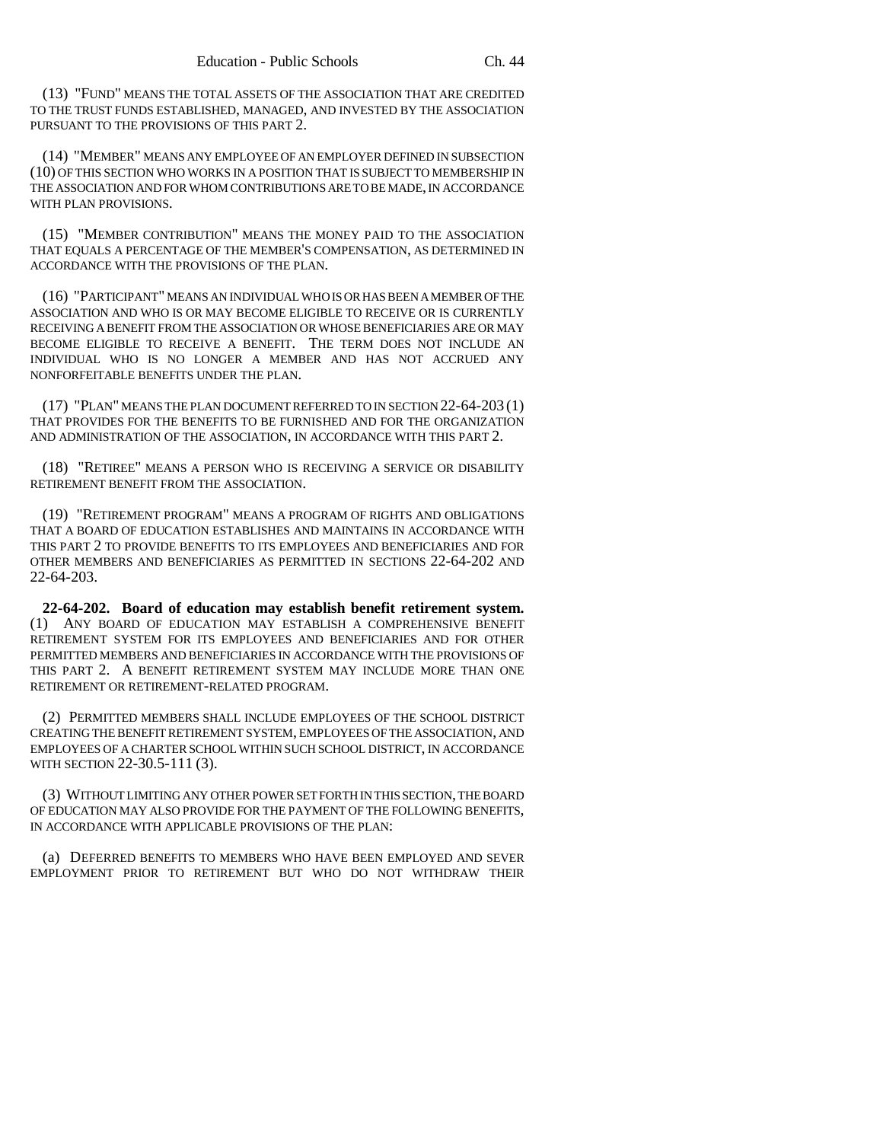(13) "FUND" MEANS THE TOTAL ASSETS OF THE ASSOCIATION THAT ARE CREDITED TO THE TRUST FUNDS ESTABLISHED, MANAGED, AND INVESTED BY THE ASSOCIATION PURSUANT TO THE PROVISIONS OF THIS PART 2.

(14) "MEMBER" MEANS ANY EMPLOYEE OF AN EMPLOYER DEFINED IN SUBSECTION (10) OF THIS SECTION WHO WORKS IN A POSITION THAT IS SUBJECT TO MEMBERSHIP IN THE ASSOCIATION AND FOR WHOM CONTRIBUTIONS ARE TO BE MADE, IN ACCORDANCE WITH PLAN PROVISIONS.

(15) "MEMBER CONTRIBUTION" MEANS THE MONEY PAID TO THE ASSOCIATION THAT EQUALS A PERCENTAGE OF THE MEMBER'S COMPENSATION, AS DETERMINED IN ACCORDANCE WITH THE PROVISIONS OF THE PLAN.

(16) "PARTICIPANT" MEANS AN INDIVIDUAL WHO IS OR HAS BEEN A MEMBER OF THE ASSOCIATION AND WHO IS OR MAY BECOME ELIGIBLE TO RECEIVE OR IS CURRENTLY RECEIVING A BENEFIT FROM THE ASSOCIATION OR WHOSE BENEFICIARIES ARE OR MAY BECOME ELIGIBLE TO RECEIVE A BENEFIT. THE TERM DOES NOT INCLUDE AN INDIVIDUAL WHO IS NO LONGER A MEMBER AND HAS NOT ACCRUED ANY NONFORFEITABLE BENEFITS UNDER THE PLAN.

(17) "PLAN" MEANS THE PLAN DOCUMENT REFERRED TO IN SECTION 22-64-203 (1) THAT PROVIDES FOR THE BENEFITS TO BE FURNISHED AND FOR THE ORGANIZATION AND ADMINISTRATION OF THE ASSOCIATION, IN ACCORDANCE WITH THIS PART 2.

(18) "RETIREE" MEANS A PERSON WHO IS RECEIVING A SERVICE OR DISABILITY RETIREMENT BENEFIT FROM THE ASSOCIATION.

(19) "RETIREMENT PROGRAM" MEANS A PROGRAM OF RIGHTS AND OBLIGATIONS THAT A BOARD OF EDUCATION ESTABLISHES AND MAINTAINS IN ACCORDANCE WITH THIS PART 2 TO PROVIDE BENEFITS TO ITS EMPLOYEES AND BENEFICIARIES AND FOR OTHER MEMBERS AND BENEFICIARIES AS PERMITTED IN SECTIONS 22-64-202 AND 22-64-203.

**22-64-202. Board of education may establish benefit retirement system.** (1) ANY BOARD OF EDUCATION MAY ESTABLISH A COMPREHENSIVE BENEFIT RETIREMENT SYSTEM FOR ITS EMPLOYEES AND BENEFICIARIES AND FOR OTHER PERMITTED MEMBERS AND BENEFICIARIES IN ACCORDANCE WITH THE PROVISIONS OF THIS PART 2. A BENEFIT RETIREMENT SYSTEM MAY INCLUDE MORE THAN ONE RETIREMENT OR RETIREMENT-RELATED PROGRAM.

(2) PERMITTED MEMBERS SHALL INCLUDE EMPLOYEES OF THE SCHOOL DISTRICT CREATING THE BENEFIT RETIREMENT SYSTEM, EMPLOYEES OF THE ASSOCIATION, AND EMPLOYEES OF A CHARTER SCHOOL WITHIN SUCH SCHOOL DISTRICT, IN ACCORDANCE WITH SECTION 22-30.5-111 (3).

(3) WITHOUT LIMITING ANY OTHER POWER SET FORTH IN THIS SECTION, THE BOARD OF EDUCATION MAY ALSO PROVIDE FOR THE PAYMENT OF THE FOLLOWING BENEFITS, IN ACCORDANCE WITH APPLICABLE PROVISIONS OF THE PLAN:

(a) DEFERRED BENEFITS TO MEMBERS WHO HAVE BEEN EMPLOYED AND SEVER EMPLOYMENT PRIOR TO RETIREMENT BUT WHO DO NOT WITHDRAW THEIR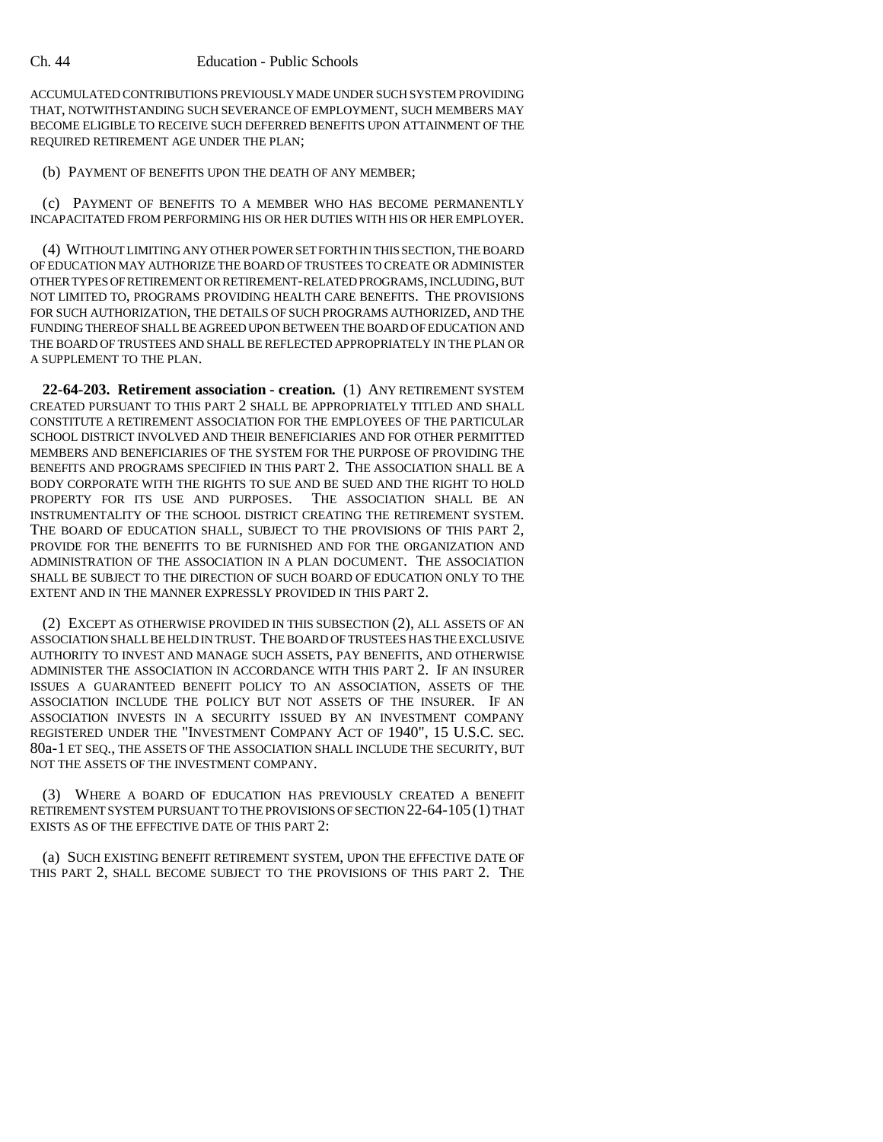#### Ch. 44 Education - Public Schools

ACCUMULATED CONTRIBUTIONS PREVIOUSLY MADE UNDER SUCH SYSTEM PROVIDING THAT, NOTWITHSTANDING SUCH SEVERANCE OF EMPLOYMENT, SUCH MEMBERS MAY BECOME ELIGIBLE TO RECEIVE SUCH DEFERRED BENEFITS UPON ATTAINMENT OF THE REQUIRED RETIREMENT AGE UNDER THE PLAN;

(b) PAYMENT OF BENEFITS UPON THE DEATH OF ANY MEMBER;

(c) PAYMENT OF BENEFITS TO A MEMBER WHO HAS BECOME PERMANENTLY INCAPACITATED FROM PERFORMING HIS OR HER DUTIES WITH HIS OR HER EMPLOYER.

(4) WITHOUT LIMITING ANY OTHER POWER SET FORTH IN THIS SECTION, THE BOARD OF EDUCATION MAY AUTHORIZE THE BOARD OF TRUSTEES TO CREATE OR ADMINISTER OTHER TYPES OF RETIREMENT OR RETIREMENT-RELATED PROGRAMS, INCLUDING, BUT NOT LIMITED TO, PROGRAMS PROVIDING HEALTH CARE BENEFITS. THE PROVISIONS FOR SUCH AUTHORIZATION, THE DETAILS OF SUCH PROGRAMS AUTHORIZED, AND THE FUNDING THEREOF SHALL BE AGREED UPON BETWEEN THE BOARD OF EDUCATION AND THE BOARD OF TRUSTEES AND SHALL BE REFLECTED APPROPRIATELY IN THE PLAN OR A SUPPLEMENT TO THE PLAN.

**22-64-203. Retirement association - creation.** (1) ANY RETIREMENT SYSTEM CREATED PURSUANT TO THIS PART 2 SHALL BE APPROPRIATELY TITLED AND SHALL CONSTITUTE A RETIREMENT ASSOCIATION FOR THE EMPLOYEES OF THE PARTICULAR SCHOOL DISTRICT INVOLVED AND THEIR BENEFICIARIES AND FOR OTHER PERMITTED MEMBERS AND BENEFICIARIES OF THE SYSTEM FOR THE PURPOSE OF PROVIDING THE BENEFITS AND PROGRAMS SPECIFIED IN THIS PART 2. THE ASSOCIATION SHALL BE A BODY CORPORATE WITH THE RIGHTS TO SUE AND BE SUED AND THE RIGHT TO HOLD PROPERTY FOR ITS USE AND PURPOSES. THE ASSOCIATION SHALL BE AN INSTRUMENTALITY OF THE SCHOOL DISTRICT CREATING THE RETIREMENT SYSTEM. THE BOARD OF EDUCATION SHALL, SUBJECT TO THE PROVISIONS OF THIS PART 2, PROVIDE FOR THE BENEFITS TO BE FURNISHED AND FOR THE ORGANIZATION AND ADMINISTRATION OF THE ASSOCIATION IN A PLAN DOCUMENT. THE ASSOCIATION SHALL BE SUBJECT TO THE DIRECTION OF SUCH BOARD OF EDUCATION ONLY TO THE EXTENT AND IN THE MANNER EXPRESSLY PROVIDED IN THIS PART 2.

(2) EXCEPT AS OTHERWISE PROVIDED IN THIS SUBSECTION (2), ALL ASSETS OF AN ASSOCIATION SHALL BE HELD IN TRUST. THE BOARD OF TRUSTEES HAS THE EXCLUSIVE AUTHORITY TO INVEST AND MANAGE SUCH ASSETS, PAY BENEFITS, AND OTHERWISE ADMINISTER THE ASSOCIATION IN ACCORDANCE WITH THIS PART 2. IF AN INSURER ISSUES A GUARANTEED BENEFIT POLICY TO AN ASSOCIATION, ASSETS OF THE ASSOCIATION INCLUDE THE POLICY BUT NOT ASSETS OF THE INSURER. IF AN ASSOCIATION INVESTS IN A SECURITY ISSUED BY AN INVESTMENT COMPANY REGISTERED UNDER THE "INVESTMENT COMPANY ACT OF 1940", 15 U.S.C. SEC. 80a-1 ET SEQ., THE ASSETS OF THE ASSOCIATION SHALL INCLUDE THE SECURITY, BUT NOT THE ASSETS OF THE INVESTMENT COMPANY.

(3) WHERE A BOARD OF EDUCATION HAS PREVIOUSLY CREATED A BENEFIT RETIREMENT SYSTEM PURSUANT TO THE PROVISIONS OF SECTION 22-64-105 (1) THAT EXISTS AS OF THE EFFECTIVE DATE OF THIS PART 2:

(a) SUCH EXISTING BENEFIT RETIREMENT SYSTEM, UPON THE EFFECTIVE DATE OF THIS PART 2, SHALL BECOME SUBJECT TO THE PROVISIONS OF THIS PART 2. THE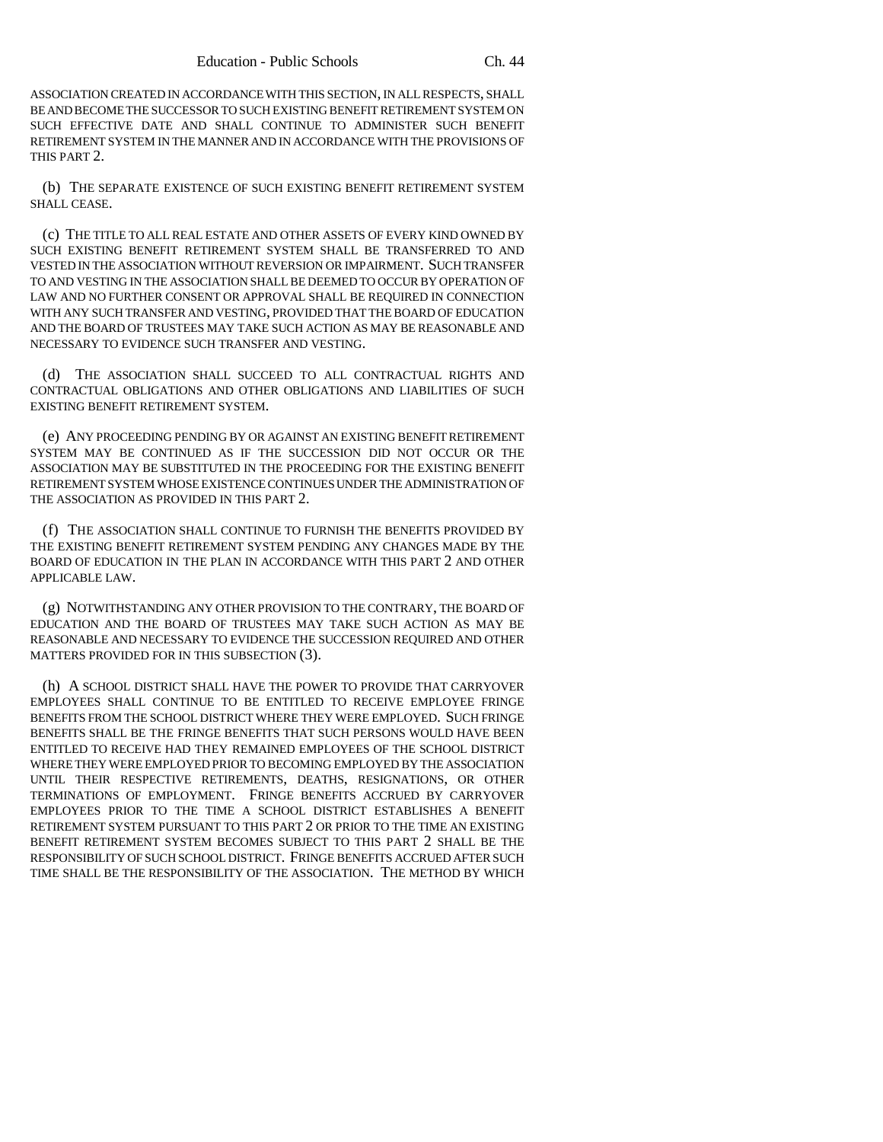ASSOCIATION CREATED IN ACCORDANCE WITH THIS SECTION, IN ALL RESPECTS, SHALL BE AND BECOME THE SUCCESSOR TO SUCH EXISTING BENEFIT RETIREMENT SYSTEM ON SUCH EFFECTIVE DATE AND SHALL CONTINUE TO ADMINISTER SUCH BENEFIT RETIREMENT SYSTEM IN THE MANNER AND IN ACCORDANCE WITH THE PROVISIONS OF THIS PART 2.

(b) THE SEPARATE EXISTENCE OF SUCH EXISTING BENEFIT RETIREMENT SYSTEM SHALL CEASE.

(c) THE TITLE TO ALL REAL ESTATE AND OTHER ASSETS OF EVERY KIND OWNED BY SUCH EXISTING BENEFIT RETIREMENT SYSTEM SHALL BE TRANSFERRED TO AND VESTED IN THE ASSOCIATION WITHOUT REVERSION OR IMPAIRMENT. SUCH TRANSFER TO AND VESTING IN THE ASSOCIATION SHALL BE DEEMED TO OCCUR BY OPERATION OF LAW AND NO FURTHER CONSENT OR APPROVAL SHALL BE REQUIRED IN CONNECTION WITH ANY SUCH TRANSFER AND VESTING, PROVIDED THAT THE BOARD OF EDUCATION AND THE BOARD OF TRUSTEES MAY TAKE SUCH ACTION AS MAY BE REASONABLE AND NECESSARY TO EVIDENCE SUCH TRANSFER AND VESTING.

(d) THE ASSOCIATION SHALL SUCCEED TO ALL CONTRACTUAL RIGHTS AND CONTRACTUAL OBLIGATIONS AND OTHER OBLIGATIONS AND LIABILITIES OF SUCH EXISTING BENEFIT RETIREMENT SYSTEM.

(e) ANY PROCEEDING PENDING BY OR AGAINST AN EXISTING BENEFIT RETIREMENT SYSTEM MAY BE CONTINUED AS IF THE SUCCESSION DID NOT OCCUR OR THE ASSOCIATION MAY BE SUBSTITUTED IN THE PROCEEDING FOR THE EXISTING BENEFIT RETIREMENT SYSTEM WHOSE EXISTENCE CONTINUES UNDER THE ADMINISTRATION OF THE ASSOCIATION AS PROVIDED IN THIS PART 2.

(f) THE ASSOCIATION SHALL CONTINUE TO FURNISH THE BENEFITS PROVIDED BY THE EXISTING BENEFIT RETIREMENT SYSTEM PENDING ANY CHANGES MADE BY THE BOARD OF EDUCATION IN THE PLAN IN ACCORDANCE WITH THIS PART 2 AND OTHER APPLICABLE LAW.

(g) NOTWITHSTANDING ANY OTHER PROVISION TO THE CONTRARY, THE BOARD OF EDUCATION AND THE BOARD OF TRUSTEES MAY TAKE SUCH ACTION AS MAY BE REASONABLE AND NECESSARY TO EVIDENCE THE SUCCESSION REQUIRED AND OTHER MATTERS PROVIDED FOR IN THIS SUBSECTION (3).

(h) A SCHOOL DISTRICT SHALL HAVE THE POWER TO PROVIDE THAT CARRYOVER EMPLOYEES SHALL CONTINUE TO BE ENTITLED TO RECEIVE EMPLOYEE FRINGE BENEFITS FROM THE SCHOOL DISTRICT WHERE THEY WERE EMPLOYED. SUCH FRINGE BENEFITS SHALL BE THE FRINGE BENEFITS THAT SUCH PERSONS WOULD HAVE BEEN ENTITLED TO RECEIVE HAD THEY REMAINED EMPLOYEES OF THE SCHOOL DISTRICT WHERE THEY WERE EMPLOYED PRIOR TO BECOMING EMPLOYED BY THE ASSOCIATION UNTIL THEIR RESPECTIVE RETIREMENTS, DEATHS, RESIGNATIONS, OR OTHER TERMINATIONS OF EMPLOYMENT. FRINGE BENEFITS ACCRUED BY CARRYOVER EMPLOYEES PRIOR TO THE TIME A SCHOOL DISTRICT ESTABLISHES A BENEFIT RETIREMENT SYSTEM PURSUANT TO THIS PART 2 OR PRIOR TO THE TIME AN EXISTING BENEFIT RETIREMENT SYSTEM BECOMES SUBJECT TO THIS PART 2 SHALL BE THE RESPONSIBILITY OF SUCH SCHOOL DISTRICT. FRINGE BENEFITS ACCRUED AFTER SUCH TIME SHALL BE THE RESPONSIBILITY OF THE ASSOCIATION. THE METHOD BY WHICH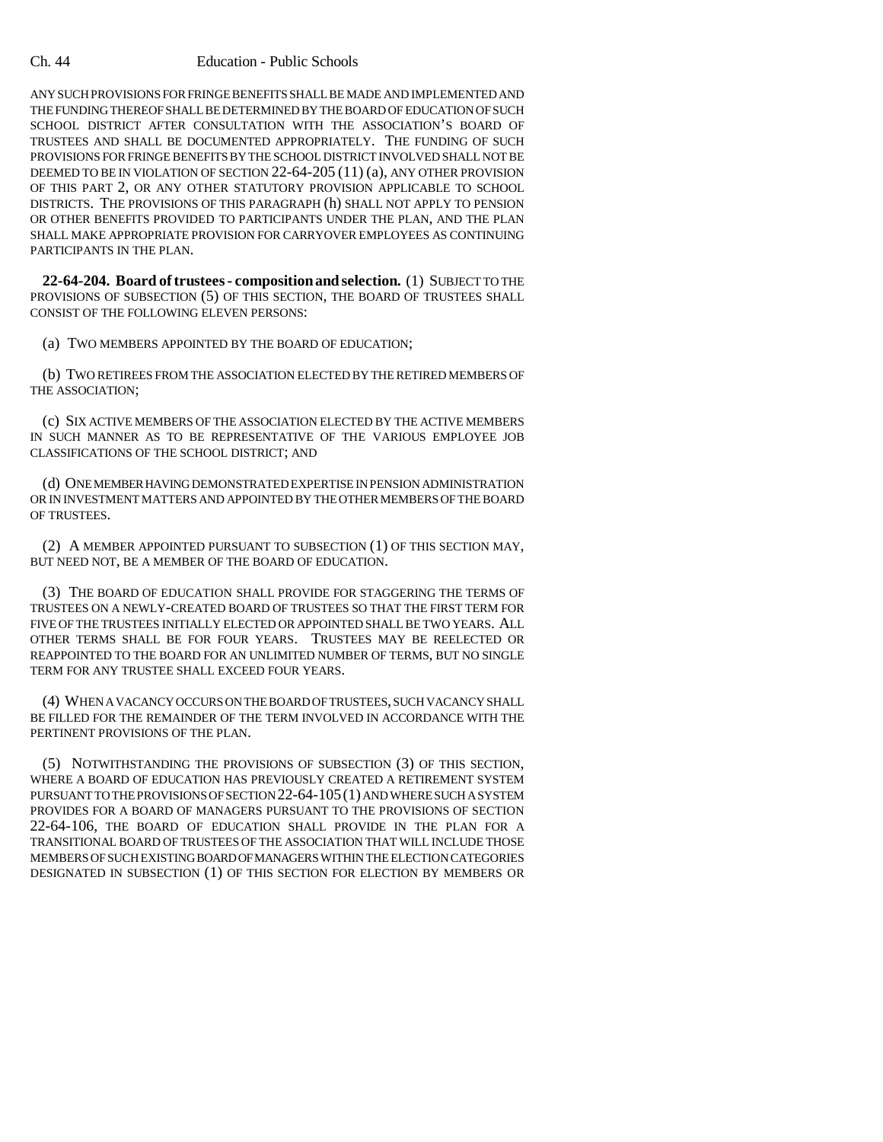ANY SUCH PROVISIONS FOR FRINGE BENEFITS SHALL BE MADE AND IMPLEMENTED AND THE FUNDING THEREOF SHALL BE DETERMINED BY THE BOARD OF EDUCATION OF SUCH SCHOOL DISTRICT AFTER CONSULTATION WITH THE ASSOCIATION'S BOARD OF TRUSTEES AND SHALL BE DOCUMENTED APPROPRIATELY. THE FUNDING OF SUCH PROVISIONS FOR FRINGE BENEFITS BY THE SCHOOL DISTRICT INVOLVED SHALL NOT BE DEEMED TO BE IN VIOLATION OF SECTION 22-64-205 (11) (a), ANY OTHER PROVISION OF THIS PART 2, OR ANY OTHER STATUTORY PROVISION APPLICABLE TO SCHOOL DISTRICTS. THE PROVISIONS OF THIS PARAGRAPH (h) SHALL NOT APPLY TO PENSION OR OTHER BENEFITS PROVIDED TO PARTICIPANTS UNDER THE PLAN, AND THE PLAN SHALL MAKE APPROPRIATE PROVISION FOR CARRYOVER EMPLOYEES AS CONTINUING PARTICIPANTS IN THE PLAN.

**22-64-204. Board of trustees - composition and selection.** (1) SUBJECT TO THE PROVISIONS OF SUBSECTION (5) OF THIS SECTION, THE BOARD OF TRUSTEES SHALL CONSIST OF THE FOLLOWING ELEVEN PERSONS:

(a) TWO MEMBERS APPOINTED BY THE BOARD OF EDUCATION;

(b) TWO RETIREES FROM THE ASSOCIATION ELECTED BY THE RETIRED MEMBERS OF THE ASSOCIATION;

(c) SIX ACTIVE MEMBERS OF THE ASSOCIATION ELECTED BY THE ACTIVE MEMBERS IN SUCH MANNER AS TO BE REPRESENTATIVE OF THE VARIOUS EMPLOYEE JOB CLASSIFICATIONS OF THE SCHOOL DISTRICT; AND

(d) ONE MEMBER HAVING DEMONSTRATED EXPERTISE IN PENSION ADMINISTRATION OR IN INVESTMENT MATTERS AND APPOINTED BY THE OTHER MEMBERS OF THE BOARD OF TRUSTEES.

(2) A MEMBER APPOINTED PURSUANT TO SUBSECTION (1) OF THIS SECTION MAY, BUT NEED NOT, BE A MEMBER OF THE BOARD OF EDUCATION.

(3) THE BOARD OF EDUCATION SHALL PROVIDE FOR STAGGERING THE TERMS OF TRUSTEES ON A NEWLY-CREATED BOARD OF TRUSTEES SO THAT THE FIRST TERM FOR FIVE OF THE TRUSTEES INITIALLY ELECTED OR APPOINTED SHALL BE TWO YEARS. ALL OTHER TERMS SHALL BE FOR FOUR YEARS. TRUSTEES MAY BE REELECTED OR REAPPOINTED TO THE BOARD FOR AN UNLIMITED NUMBER OF TERMS, BUT NO SINGLE TERM FOR ANY TRUSTEE SHALL EXCEED FOUR YEARS.

(4) WHEN A VACANCY OCCURS ON THE BOARD OF TRUSTEES, SUCH VACANCY SHALL BE FILLED FOR THE REMAINDER OF THE TERM INVOLVED IN ACCORDANCE WITH THE PERTINENT PROVISIONS OF THE PLAN.

(5) NOTWITHSTANDING THE PROVISIONS OF SUBSECTION (3) OF THIS SECTION, WHERE A BOARD OF EDUCATION HAS PREVIOUSLY CREATED A RETIREMENT SYSTEM PURSUANT TO THE PROVISIONS OF SECTION 22-64-105(1) AND WHERE SUCH A SYSTEM PROVIDES FOR A BOARD OF MANAGERS PURSUANT TO THE PROVISIONS OF SECTION 22-64-106, THE BOARD OF EDUCATION SHALL PROVIDE IN THE PLAN FOR A TRANSITIONAL BOARD OF TRUSTEES OF THE ASSOCIATION THAT WILL INCLUDE THOSE MEMBERS OF SUCH EXISTING BOARD OF MANAGERS WITHIN THE ELECTION CATEGORIES DESIGNATED IN SUBSECTION (1) OF THIS SECTION FOR ELECTION BY MEMBERS OR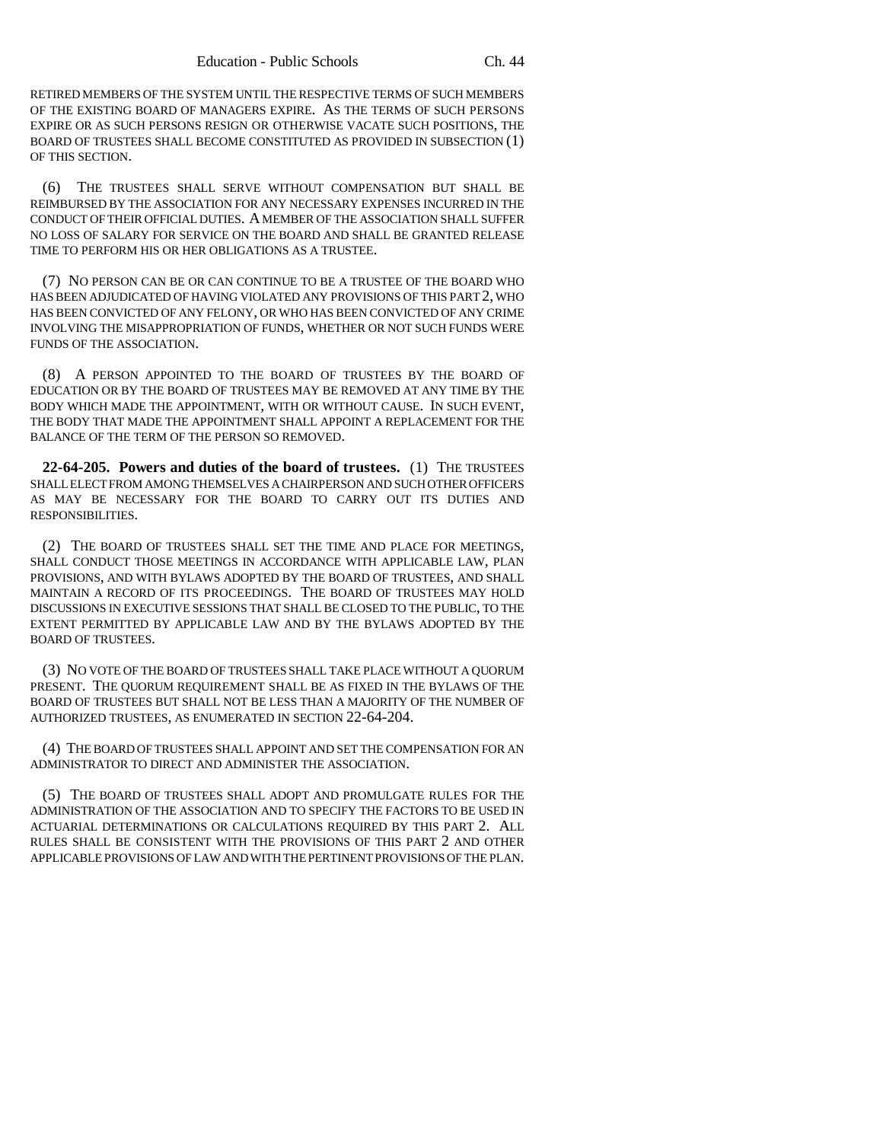RETIRED MEMBERS OF THE SYSTEM UNTIL THE RESPECTIVE TERMS OF SUCH MEMBERS OF THE EXISTING BOARD OF MANAGERS EXPIRE. AS THE TERMS OF SUCH PERSONS EXPIRE OR AS SUCH PERSONS RESIGN OR OTHERWISE VACATE SUCH POSITIONS, THE BOARD OF TRUSTEES SHALL BECOME CONSTITUTED AS PROVIDED IN SUBSECTION (1) OF THIS SECTION.

(6) THE TRUSTEES SHALL SERVE WITHOUT COMPENSATION BUT SHALL BE REIMBURSED BY THE ASSOCIATION FOR ANY NECESSARY EXPENSES INCURRED IN THE CONDUCT OF THEIR OFFICIAL DUTIES. A MEMBER OF THE ASSOCIATION SHALL SUFFER NO LOSS OF SALARY FOR SERVICE ON THE BOARD AND SHALL BE GRANTED RELEASE TIME TO PERFORM HIS OR HER OBLIGATIONS AS A TRUSTEE.

(7) NO PERSON CAN BE OR CAN CONTINUE TO BE A TRUSTEE OF THE BOARD WHO HAS BEEN ADJUDICATED OF HAVING VIOLATED ANY PROVISIONS OF THIS PART 2, WHO HAS BEEN CONVICTED OF ANY FELONY, OR WHO HAS BEEN CONVICTED OF ANY CRIME INVOLVING THE MISAPPROPRIATION OF FUNDS, WHETHER OR NOT SUCH FUNDS WERE FUNDS OF THE ASSOCIATION.

(8) A PERSON APPOINTED TO THE BOARD OF TRUSTEES BY THE BOARD OF EDUCATION OR BY THE BOARD OF TRUSTEES MAY BE REMOVED AT ANY TIME BY THE BODY WHICH MADE THE APPOINTMENT, WITH OR WITHOUT CAUSE. IN SUCH EVENT, THE BODY THAT MADE THE APPOINTMENT SHALL APPOINT A REPLACEMENT FOR THE BALANCE OF THE TERM OF THE PERSON SO REMOVED.

**22-64-205. Powers and duties of the board of trustees.** (1) THE TRUSTEES SHALL ELECT FROM AMONG THEMSELVES A CHAIRPERSON AND SUCH OTHER OFFICERS AS MAY BE NECESSARY FOR THE BOARD TO CARRY OUT ITS DUTIES AND RESPONSIBILITIES.

(2) THE BOARD OF TRUSTEES SHALL SET THE TIME AND PLACE FOR MEETINGS, SHALL CONDUCT THOSE MEETINGS IN ACCORDANCE WITH APPLICABLE LAW, PLAN PROVISIONS, AND WITH BYLAWS ADOPTED BY THE BOARD OF TRUSTEES, AND SHALL MAINTAIN A RECORD OF ITS PROCEEDINGS. THE BOARD OF TRUSTEES MAY HOLD DISCUSSIONS IN EXECUTIVE SESSIONS THAT SHALL BE CLOSED TO THE PUBLIC, TO THE EXTENT PERMITTED BY APPLICABLE LAW AND BY THE BYLAWS ADOPTED BY THE BOARD OF TRUSTEES.

(3) NO VOTE OF THE BOARD OF TRUSTEES SHALL TAKE PLACE WITHOUT A QUORUM PRESENT. THE QUORUM REQUIREMENT SHALL BE AS FIXED IN THE BYLAWS OF THE BOARD OF TRUSTEES BUT SHALL NOT BE LESS THAN A MAJORITY OF THE NUMBER OF AUTHORIZED TRUSTEES, AS ENUMERATED IN SECTION 22-64-204.

(4) THE BOARD OF TRUSTEES SHALL APPOINT AND SET THE COMPENSATION FOR AN ADMINISTRATOR TO DIRECT AND ADMINISTER THE ASSOCIATION.

(5) THE BOARD OF TRUSTEES SHALL ADOPT AND PROMULGATE RULES FOR THE ADMINISTRATION OF THE ASSOCIATION AND TO SPECIFY THE FACTORS TO BE USED IN ACTUARIAL DETERMINATIONS OR CALCULATIONS REQUIRED BY THIS PART 2. ALL RULES SHALL BE CONSISTENT WITH THE PROVISIONS OF THIS PART 2 AND OTHER APPLICABLE PROVISIONS OF LAW AND WITH THE PERTINENT PROVISIONS OF THE PLAN.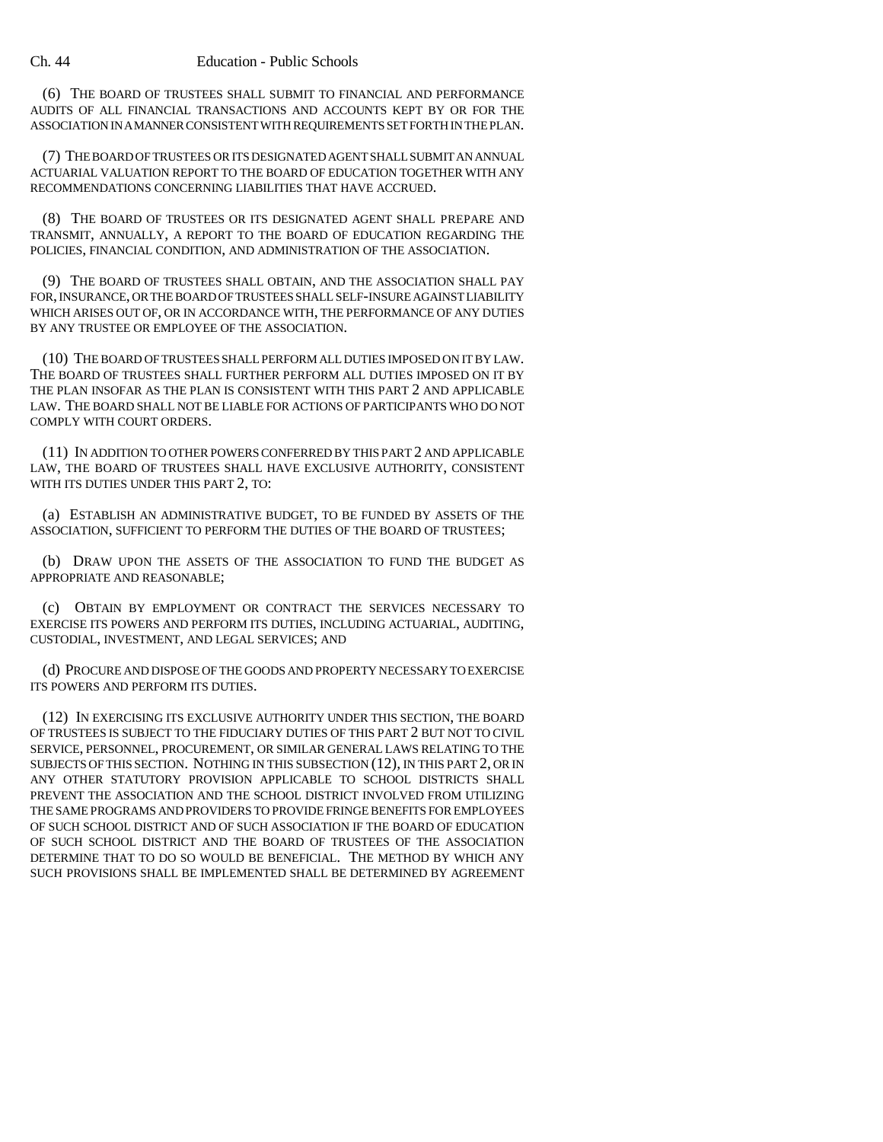(6) THE BOARD OF TRUSTEES SHALL SUBMIT TO FINANCIAL AND PERFORMANCE AUDITS OF ALL FINANCIAL TRANSACTIONS AND ACCOUNTS KEPT BY OR FOR THE ASSOCIATION IN A MANNER CONSISTENT WITH REQUIREMENTS SET FORTH IN THE PLAN.

(7) THE BOARD OF TRUSTEES OR ITS DESIGNATED AGENT SHALL SUBMIT AN ANNUAL ACTUARIAL VALUATION REPORT TO THE BOARD OF EDUCATION TOGETHER WITH ANY RECOMMENDATIONS CONCERNING LIABILITIES THAT HAVE ACCRUED.

(8) THE BOARD OF TRUSTEES OR ITS DESIGNATED AGENT SHALL PREPARE AND TRANSMIT, ANNUALLY, A REPORT TO THE BOARD OF EDUCATION REGARDING THE POLICIES, FINANCIAL CONDITION, AND ADMINISTRATION OF THE ASSOCIATION.

(9) THE BOARD OF TRUSTEES SHALL OBTAIN, AND THE ASSOCIATION SHALL PAY FOR, INSURANCE, OR THE BOARD OF TRUSTEES SHALL SELF-INSURE AGAINST LIABILITY WHICH ARISES OUT OF, OR IN ACCORDANCE WITH, THE PERFORMANCE OF ANY DUTIES BY ANY TRUSTEE OR EMPLOYEE OF THE ASSOCIATION.

(10) THE BOARD OF TRUSTEES SHALL PERFORM ALL DUTIES IMPOSED ON IT BY LAW. THE BOARD OF TRUSTEES SHALL FURTHER PERFORM ALL DUTIES IMPOSED ON IT BY THE PLAN INSOFAR AS THE PLAN IS CONSISTENT WITH THIS PART 2 AND APPLICABLE LAW. THE BOARD SHALL NOT BE LIABLE FOR ACTIONS OF PARTICIPANTS WHO DO NOT COMPLY WITH COURT ORDERS.

(11) IN ADDITION TO OTHER POWERS CONFERRED BY THIS PART 2 AND APPLICABLE LAW, THE BOARD OF TRUSTEES SHALL HAVE EXCLUSIVE AUTHORITY, CONSISTENT WITH ITS DUTIES UNDER THIS PART 2, TO:

(a) ESTABLISH AN ADMINISTRATIVE BUDGET, TO BE FUNDED BY ASSETS OF THE ASSOCIATION, SUFFICIENT TO PERFORM THE DUTIES OF THE BOARD OF TRUSTEES;

(b) DRAW UPON THE ASSETS OF THE ASSOCIATION TO FUND THE BUDGET AS APPROPRIATE AND REASONABLE;

(c) OBTAIN BY EMPLOYMENT OR CONTRACT THE SERVICES NECESSARY TO EXERCISE ITS POWERS AND PERFORM ITS DUTIES, INCLUDING ACTUARIAL, AUDITING, CUSTODIAL, INVESTMENT, AND LEGAL SERVICES; AND

(d) PROCURE AND DISPOSE OF THE GOODS AND PROPERTY NECESSARY TO EXERCISE ITS POWERS AND PERFORM ITS DUTIES.

(12) IN EXERCISING ITS EXCLUSIVE AUTHORITY UNDER THIS SECTION, THE BOARD OF TRUSTEES IS SUBJECT TO THE FIDUCIARY DUTIES OF THIS PART 2 BUT NOT TO CIVIL SERVICE, PERSONNEL, PROCUREMENT, OR SIMILAR GENERAL LAWS RELATING TO THE SUBJECTS OF THIS SECTION. NOTHING IN THIS SUBSECTION (12), IN THIS PART 2, OR IN ANY OTHER STATUTORY PROVISION APPLICABLE TO SCHOOL DISTRICTS SHALL PREVENT THE ASSOCIATION AND THE SCHOOL DISTRICT INVOLVED FROM UTILIZING THE SAME PROGRAMS AND PROVIDERS TO PROVIDE FRINGE BENEFITS FOR EMPLOYEES OF SUCH SCHOOL DISTRICT AND OF SUCH ASSOCIATION IF THE BOARD OF EDUCATION OF SUCH SCHOOL DISTRICT AND THE BOARD OF TRUSTEES OF THE ASSOCIATION DETERMINE THAT TO DO SO WOULD BE BENEFICIAL. THE METHOD BY WHICH ANY SUCH PROVISIONS SHALL BE IMPLEMENTED SHALL BE DETERMINED BY AGREEMENT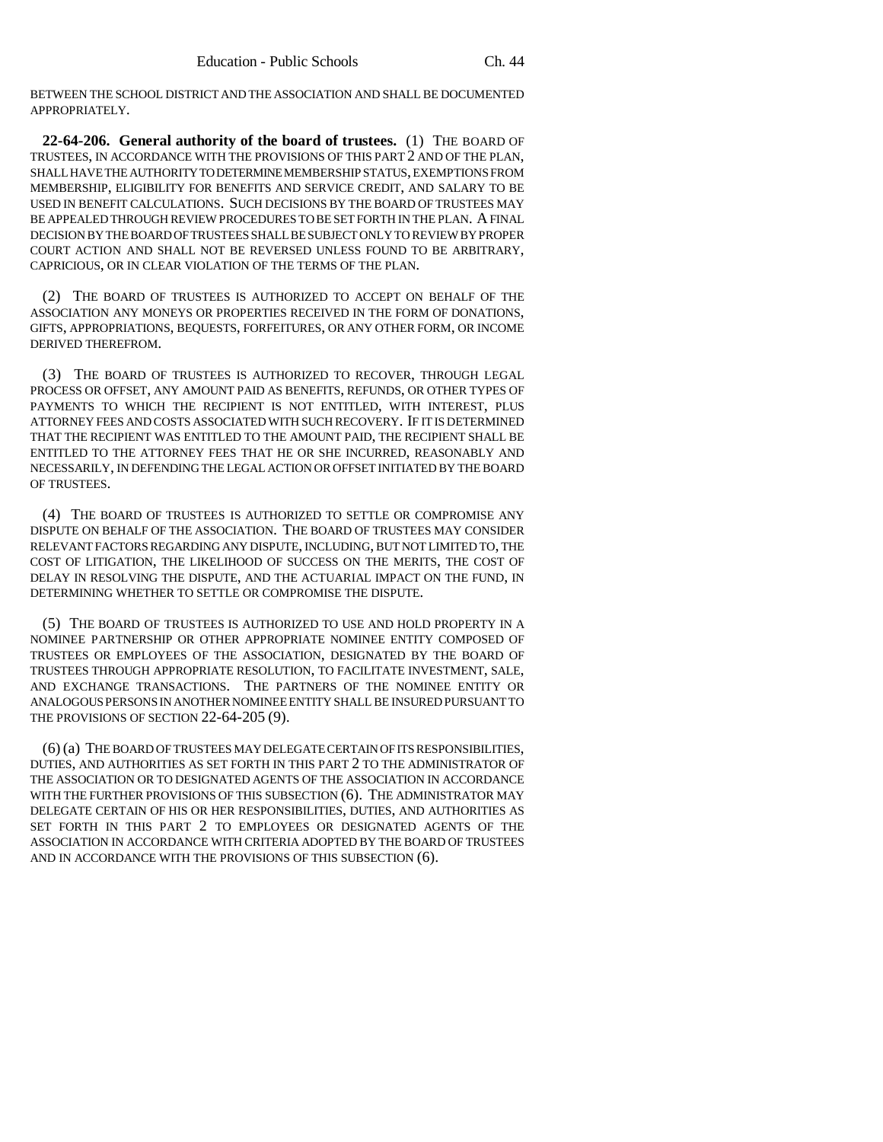BETWEEN THE SCHOOL DISTRICT AND THE ASSOCIATION AND SHALL BE DOCUMENTED APPROPRIATELY.

**22-64-206. General authority of the board of trustees.** (1) THE BOARD OF TRUSTEES, IN ACCORDANCE WITH THE PROVISIONS OF THIS PART 2 AND OF THE PLAN, SHALL HAVE THE AUTHORITY TO DETERMINE MEMBERSHIP STATUS, EXEMPTIONS FROM MEMBERSHIP, ELIGIBILITY FOR BENEFITS AND SERVICE CREDIT, AND SALARY TO BE USED IN BENEFIT CALCULATIONS. SUCH DECISIONS BY THE BOARD OF TRUSTEES MAY BE APPEALED THROUGH REVIEW PROCEDURES TO BE SET FORTH IN THE PLAN. A FINAL DECISION BY THE BOARD OF TRUSTEES SHALL BE SUBJECT ONLY TO REVIEW BY PROPER COURT ACTION AND SHALL NOT BE REVERSED UNLESS FOUND TO BE ARBITRARY, CAPRICIOUS, OR IN CLEAR VIOLATION OF THE TERMS OF THE PLAN.

(2) THE BOARD OF TRUSTEES IS AUTHORIZED TO ACCEPT ON BEHALF OF THE ASSOCIATION ANY MONEYS OR PROPERTIES RECEIVED IN THE FORM OF DONATIONS, GIFTS, APPROPRIATIONS, BEQUESTS, FORFEITURES, OR ANY OTHER FORM, OR INCOME DERIVED THEREFROM.

(3) THE BOARD OF TRUSTEES IS AUTHORIZED TO RECOVER, THROUGH LEGAL PROCESS OR OFFSET, ANY AMOUNT PAID AS BENEFITS, REFUNDS, OR OTHER TYPES OF PAYMENTS TO WHICH THE RECIPIENT IS NOT ENTITLED, WITH INTEREST, PLUS ATTORNEY FEES AND COSTS ASSOCIATED WITH SUCH RECOVERY. IF IT IS DETERMINED THAT THE RECIPIENT WAS ENTITLED TO THE AMOUNT PAID, THE RECIPIENT SHALL BE ENTITLED TO THE ATTORNEY FEES THAT HE OR SHE INCURRED, REASONABLY AND NECESSARILY, IN DEFENDING THE LEGAL ACTION OR OFFSET INITIATED BY THE BOARD OF TRUSTEES.

(4) THE BOARD OF TRUSTEES IS AUTHORIZED TO SETTLE OR COMPROMISE ANY DISPUTE ON BEHALF OF THE ASSOCIATION. THE BOARD OF TRUSTEES MAY CONSIDER RELEVANT FACTORS REGARDING ANY DISPUTE, INCLUDING, BUT NOT LIMITED TO, THE COST OF LITIGATION, THE LIKELIHOOD OF SUCCESS ON THE MERITS, THE COST OF DELAY IN RESOLVING THE DISPUTE, AND THE ACTUARIAL IMPACT ON THE FUND, IN DETERMINING WHETHER TO SETTLE OR COMPROMISE THE DISPUTE.

(5) THE BOARD OF TRUSTEES IS AUTHORIZED TO USE AND HOLD PROPERTY IN A NOMINEE PARTNERSHIP OR OTHER APPROPRIATE NOMINEE ENTITY COMPOSED OF TRUSTEES OR EMPLOYEES OF THE ASSOCIATION, DESIGNATED BY THE BOARD OF TRUSTEES THROUGH APPROPRIATE RESOLUTION, TO FACILITATE INVESTMENT, SALE, AND EXCHANGE TRANSACTIONS. THE PARTNERS OF THE NOMINEE ENTITY OR ANALOGOUS PERSONS IN ANOTHER NOMINEE ENTITY SHALL BE INSURED PURSUANT TO THE PROVISIONS OF SECTION 22-64-205 (9).

(6) (a) THE BOARD OF TRUSTEES MAY DELEGATE CERTAIN OF ITS RESPONSIBILITIES, DUTIES, AND AUTHORITIES AS SET FORTH IN THIS PART 2 TO THE ADMINISTRATOR OF THE ASSOCIATION OR TO DESIGNATED AGENTS OF THE ASSOCIATION IN ACCORDANCE WITH THE FURTHER PROVISIONS OF THIS SUBSECTION (6). THE ADMINISTRATOR MAY DELEGATE CERTAIN OF HIS OR HER RESPONSIBILITIES, DUTIES, AND AUTHORITIES AS SET FORTH IN THIS PART 2 TO EMPLOYEES OR DESIGNATED AGENTS OF THE ASSOCIATION IN ACCORDANCE WITH CRITERIA ADOPTED BY THE BOARD OF TRUSTEES AND IN ACCORDANCE WITH THE PROVISIONS OF THIS SUBSECTION (6).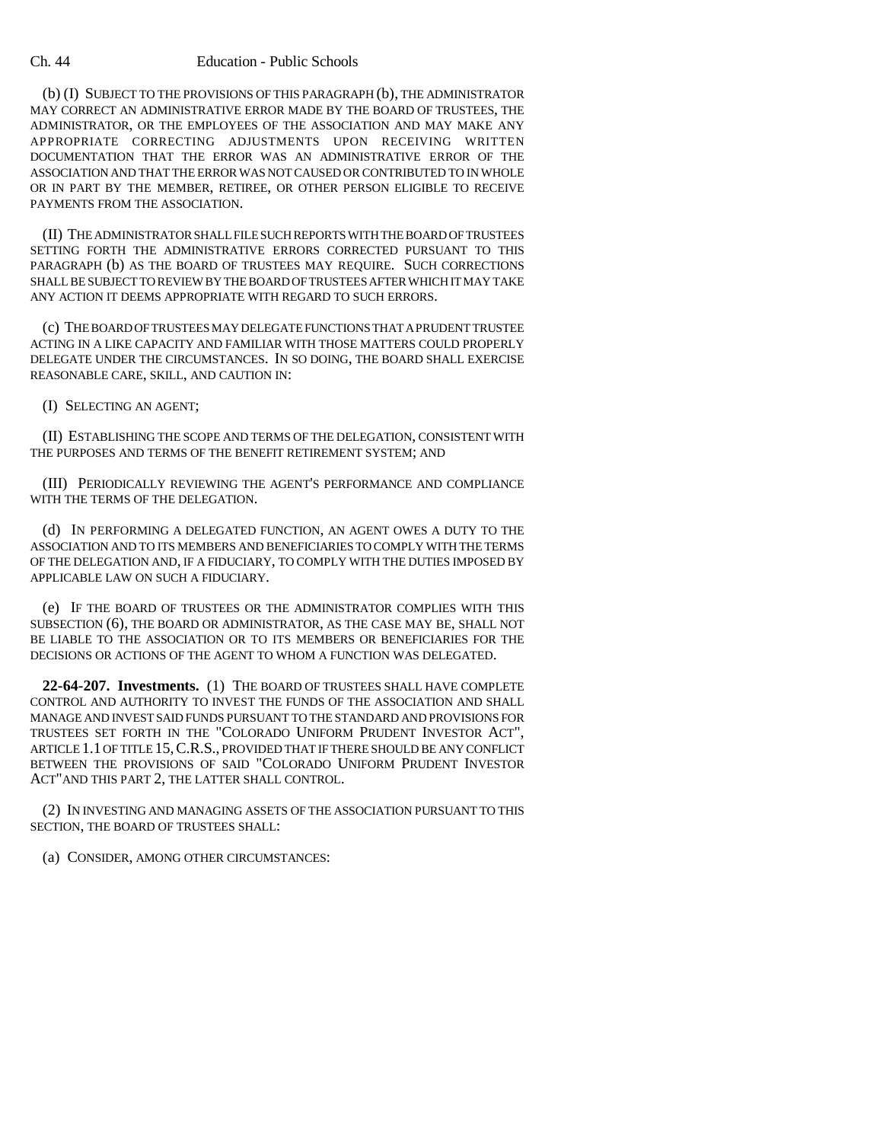#### Ch. 44 Education - Public Schools

(b) (I) SUBJECT TO THE PROVISIONS OF THIS PARAGRAPH (b), THE ADMINISTRATOR MAY CORRECT AN ADMINISTRATIVE ERROR MADE BY THE BOARD OF TRUSTEES, THE ADMINISTRATOR, OR THE EMPLOYEES OF THE ASSOCIATION AND MAY MAKE ANY APPROPRIATE CORRECTING ADJUSTMENTS UPON RECEIVING WRITTEN DOCUMENTATION THAT THE ERROR WAS AN ADMINISTRATIVE ERROR OF THE ASSOCIATION AND THAT THE ERROR WAS NOT CAUSED OR CONTRIBUTED TO IN WHOLE OR IN PART BY THE MEMBER, RETIREE, OR OTHER PERSON ELIGIBLE TO RECEIVE PAYMENTS FROM THE ASSOCIATION.

(II) THE ADMINISTRATOR SHALL FILE SUCH REPORTS WITH THE BOARD OF TRUSTEES SETTING FORTH THE ADMINISTRATIVE ERRORS CORRECTED PURSUANT TO THIS PARAGRAPH (b) AS THE BOARD OF TRUSTEES MAY REQUIRE. SUCH CORRECTIONS SHALL BE SUBJECT TO REVIEW BY THE BOARD OF TRUSTEES AFTER WHICH IT MAY TAKE ANY ACTION IT DEEMS APPROPRIATE WITH REGARD TO SUCH ERRORS.

(c) THE BOARD OF TRUSTEES MAY DELEGATE FUNCTIONS THAT A PRUDENT TRUSTEE ACTING IN A LIKE CAPACITY AND FAMILIAR WITH THOSE MATTERS COULD PROPERLY DELEGATE UNDER THE CIRCUMSTANCES. IN SO DOING, THE BOARD SHALL EXERCISE REASONABLE CARE, SKILL, AND CAUTION IN:

(I) SELECTING AN AGENT;

(II) ESTABLISHING THE SCOPE AND TERMS OF THE DELEGATION, CONSISTENT WITH THE PURPOSES AND TERMS OF THE BENEFIT RETIREMENT SYSTEM; AND

(III) PERIODICALLY REVIEWING THE AGENT'S PERFORMANCE AND COMPLIANCE WITH THE TERMS OF THE DELEGATION.

(d) IN PERFORMING A DELEGATED FUNCTION, AN AGENT OWES A DUTY TO THE ASSOCIATION AND TO ITS MEMBERS AND BENEFICIARIES TO COMPLY WITH THE TERMS OF THE DELEGATION AND, IF A FIDUCIARY, TO COMPLY WITH THE DUTIES IMPOSED BY APPLICABLE LAW ON SUCH A FIDUCIARY.

(e) IF THE BOARD OF TRUSTEES OR THE ADMINISTRATOR COMPLIES WITH THIS SUBSECTION (6), THE BOARD OR ADMINISTRATOR, AS THE CASE MAY BE, SHALL NOT BE LIABLE TO THE ASSOCIATION OR TO ITS MEMBERS OR BENEFICIARIES FOR THE DECISIONS OR ACTIONS OF THE AGENT TO WHOM A FUNCTION WAS DELEGATED.

**22-64-207. Investments.** (1) THE BOARD OF TRUSTEES SHALL HAVE COMPLETE CONTROL AND AUTHORITY TO INVEST THE FUNDS OF THE ASSOCIATION AND SHALL MANAGE AND INVEST SAID FUNDS PURSUANT TO THE STANDARD AND PROVISIONS FOR TRUSTEES SET FORTH IN THE "COLORADO UNIFORM PRUDENT INVESTOR ACT", ARTICLE 1.1 OF TITLE 15,C.R.S., PROVIDED THAT IF THERE SHOULD BE ANY CONFLICT BETWEEN THE PROVISIONS OF SAID "COLORADO UNIFORM PRUDENT INVESTOR ACT"AND THIS PART 2, THE LATTER SHALL CONTROL.

(2) IN INVESTING AND MANAGING ASSETS OF THE ASSOCIATION PURSUANT TO THIS SECTION, THE BOARD OF TRUSTEES SHALL:

(a) CONSIDER, AMONG OTHER CIRCUMSTANCES: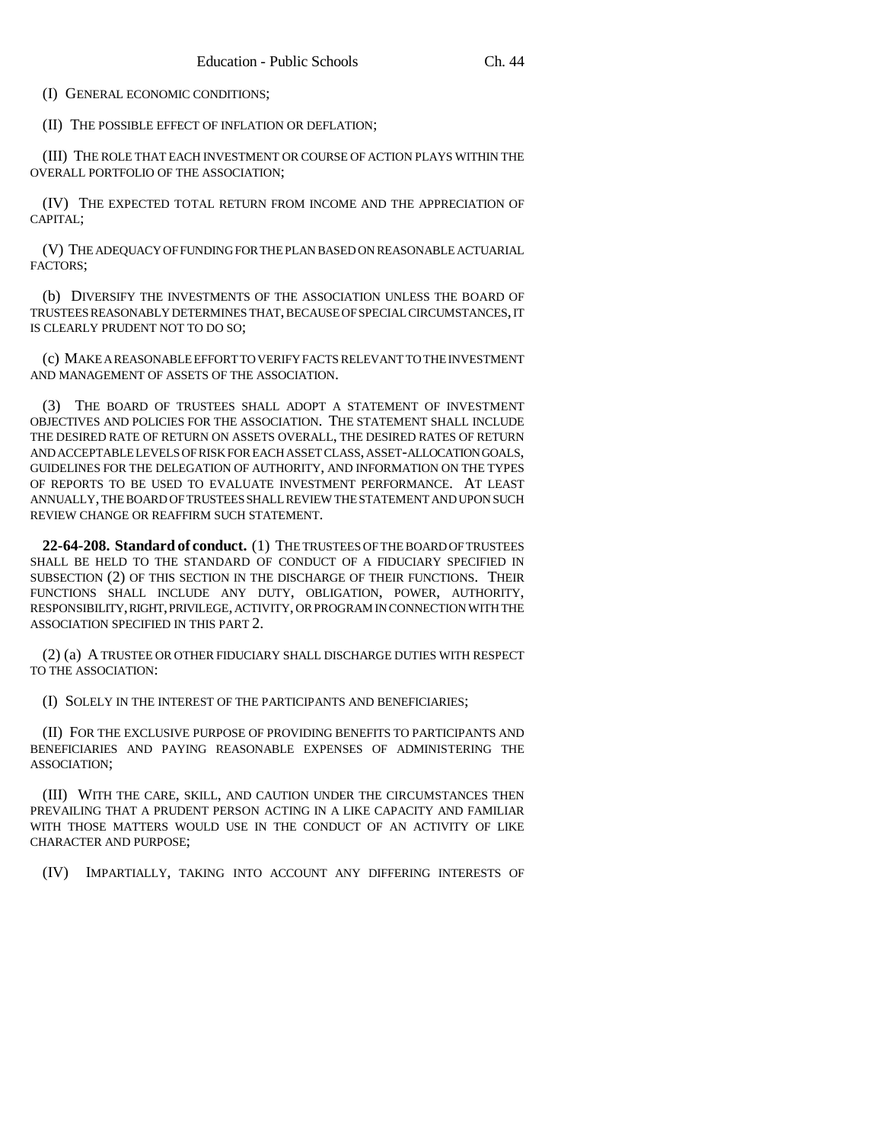(I) GENERAL ECONOMIC CONDITIONS;

(II) THE POSSIBLE EFFECT OF INFLATION OR DEFLATION;

(III) THE ROLE THAT EACH INVESTMENT OR COURSE OF ACTION PLAYS WITHIN THE OVERALL PORTFOLIO OF THE ASSOCIATION;

(IV) THE EXPECTED TOTAL RETURN FROM INCOME AND THE APPRECIATION OF CAPITAL;

(V) THE ADEQUACY OF FUNDING FOR THE PLAN BASED ON REASONABLE ACTUARIAL FACTORS;

(b) DIVERSIFY THE INVESTMENTS OF THE ASSOCIATION UNLESS THE BOARD OF TRUSTEES REASONABLY DETERMINES THAT, BECAUSE OF SPECIAL CIRCUMSTANCES, IT IS CLEARLY PRUDENT NOT TO DO SO;

(c) MAKE A REASONABLE EFFORT TO VERIFY FACTS RELEVANT TO THE INVESTMENT AND MANAGEMENT OF ASSETS OF THE ASSOCIATION.

(3) THE BOARD OF TRUSTEES SHALL ADOPT A STATEMENT OF INVESTMENT OBJECTIVES AND POLICIES FOR THE ASSOCIATION. THE STATEMENT SHALL INCLUDE THE DESIRED RATE OF RETURN ON ASSETS OVERALL, THE DESIRED RATES OF RETURN AND ACCEPTABLE LEVELS OF RISK FOR EACH ASSET CLASS, ASSET-ALLOCATION GOALS, GUIDELINES FOR THE DELEGATION OF AUTHORITY, AND INFORMATION ON THE TYPES OF REPORTS TO BE USED TO EVALUATE INVESTMENT PERFORMANCE. AT LEAST ANNUALLY, THE BOARD OF TRUSTEES SHALL REVIEW THE STATEMENT AND UPON SUCH REVIEW CHANGE OR REAFFIRM SUCH STATEMENT.

**22-64-208. Standard of conduct.** (1) THE TRUSTEES OF THE BOARD OF TRUSTEES SHALL BE HELD TO THE STANDARD OF CONDUCT OF A FIDUCIARY SPECIFIED IN SUBSECTION (2) OF THIS SECTION IN THE DISCHARGE OF THEIR FUNCTIONS. THEIR FUNCTIONS SHALL INCLUDE ANY DUTY, OBLIGATION, POWER, AUTHORITY, RESPONSIBILITY, RIGHT, PRIVILEGE, ACTIVITY, OR PROGRAM IN CONNECTION WITH THE ASSOCIATION SPECIFIED IN THIS PART 2.

(2) (a) A TRUSTEE OR OTHER FIDUCIARY SHALL DISCHARGE DUTIES WITH RESPECT TO THE ASSOCIATION:

(I) SOLELY IN THE INTEREST OF THE PARTICIPANTS AND BENEFICIARIES;

(II) FOR THE EXCLUSIVE PURPOSE OF PROVIDING BENEFITS TO PARTICIPANTS AND BENEFICIARIES AND PAYING REASONABLE EXPENSES OF ADMINISTERING THE ASSOCIATION;

(III) WITH THE CARE, SKILL, AND CAUTION UNDER THE CIRCUMSTANCES THEN PREVAILING THAT A PRUDENT PERSON ACTING IN A LIKE CAPACITY AND FAMILIAR WITH THOSE MATTERS WOULD USE IN THE CONDUCT OF AN ACTIVITY OF LIKE CHARACTER AND PURPOSE;

(IV) IMPARTIALLY, TAKING INTO ACCOUNT ANY DIFFERING INTERESTS OF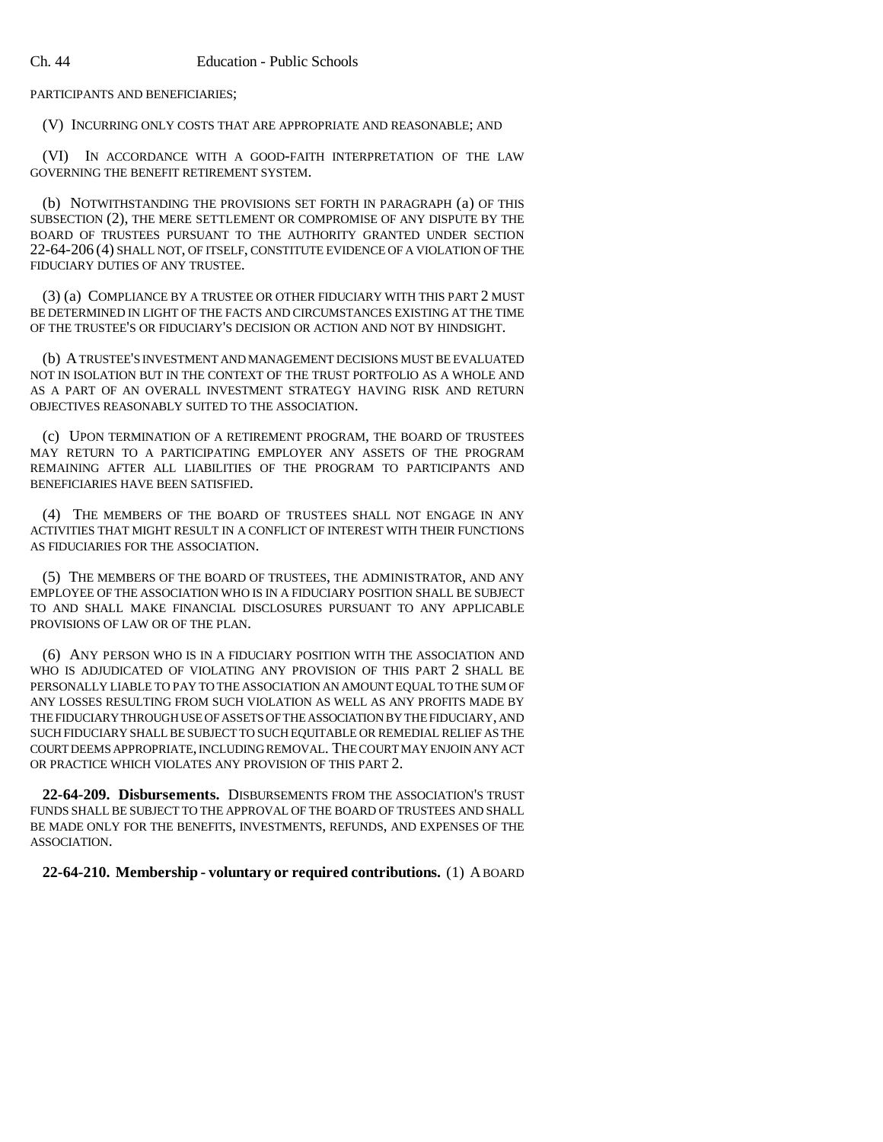PARTICIPANTS AND BENEFICIARIES;

(V) INCURRING ONLY COSTS THAT ARE APPROPRIATE AND REASONABLE; AND

(VI) IN ACCORDANCE WITH A GOOD-FAITH INTERPRETATION OF THE LAW GOVERNING THE BENEFIT RETIREMENT SYSTEM.

(b) NOTWITHSTANDING THE PROVISIONS SET FORTH IN PARAGRAPH (a) OF THIS SUBSECTION (2), THE MERE SETTLEMENT OR COMPROMISE OF ANY DISPUTE BY THE BOARD OF TRUSTEES PURSUANT TO THE AUTHORITY GRANTED UNDER SECTION 22-64-206 (4) SHALL NOT, OF ITSELF, CONSTITUTE EVIDENCE OF A VIOLATION OF THE FIDUCIARY DUTIES OF ANY TRUSTEE.

(3) (a) COMPLIANCE BY A TRUSTEE OR OTHER FIDUCIARY WITH THIS PART 2 MUST BE DETERMINED IN LIGHT OF THE FACTS AND CIRCUMSTANCES EXISTING AT THE TIME OF THE TRUSTEE'S OR FIDUCIARY'S DECISION OR ACTION AND NOT BY HINDSIGHT.

(b) A TRUSTEE'S INVESTMENT AND MANAGEMENT DECISIONS MUST BE EVALUATED NOT IN ISOLATION BUT IN THE CONTEXT OF THE TRUST PORTFOLIO AS A WHOLE AND AS A PART OF AN OVERALL INVESTMENT STRATEGY HAVING RISK AND RETURN OBJECTIVES REASONABLY SUITED TO THE ASSOCIATION.

(c) UPON TERMINATION OF A RETIREMENT PROGRAM, THE BOARD OF TRUSTEES MAY RETURN TO A PARTICIPATING EMPLOYER ANY ASSETS OF THE PROGRAM REMAINING AFTER ALL LIABILITIES OF THE PROGRAM TO PARTICIPANTS AND BENEFICIARIES HAVE BEEN SATISFIED.

(4) THE MEMBERS OF THE BOARD OF TRUSTEES SHALL NOT ENGAGE IN ANY ACTIVITIES THAT MIGHT RESULT IN A CONFLICT OF INTEREST WITH THEIR FUNCTIONS AS FIDUCIARIES FOR THE ASSOCIATION.

(5) THE MEMBERS OF THE BOARD OF TRUSTEES, THE ADMINISTRATOR, AND ANY EMPLOYEE OF THE ASSOCIATION WHO IS IN A FIDUCIARY POSITION SHALL BE SUBJECT TO AND SHALL MAKE FINANCIAL DISCLOSURES PURSUANT TO ANY APPLICABLE PROVISIONS OF LAW OR OF THE PLAN.

(6) ANY PERSON WHO IS IN A FIDUCIARY POSITION WITH THE ASSOCIATION AND WHO IS ADJUDICATED OF VIOLATING ANY PROVISION OF THIS PART 2 SHALL BE PERSONALLY LIABLE TO PAY TO THE ASSOCIATION AN AMOUNT EQUAL TO THE SUM OF ANY LOSSES RESULTING FROM SUCH VIOLATION AS WELL AS ANY PROFITS MADE BY THE FIDUCIARY THROUGH USE OF ASSETS OF THE ASSOCIATION BY THE FIDUCIARY, AND SUCH FIDUCIARY SHALL BE SUBJECT TO SUCH EQUITABLE OR REMEDIAL RELIEF AS THE COURT DEEMS APPROPRIATE, INCLUDING REMOVAL. THE COURT MAY ENJOIN ANY ACT OR PRACTICE WHICH VIOLATES ANY PROVISION OF THIS PART 2.

**22-64-209. Disbursements.** DISBURSEMENTS FROM THE ASSOCIATION'S TRUST FUNDS SHALL BE SUBJECT TO THE APPROVAL OF THE BOARD OF TRUSTEES AND SHALL BE MADE ONLY FOR THE BENEFITS, INVESTMENTS, REFUNDS, AND EXPENSES OF THE ASSOCIATION.

### **22-64-210. Membership - voluntary or required contributions.** (1) A BOARD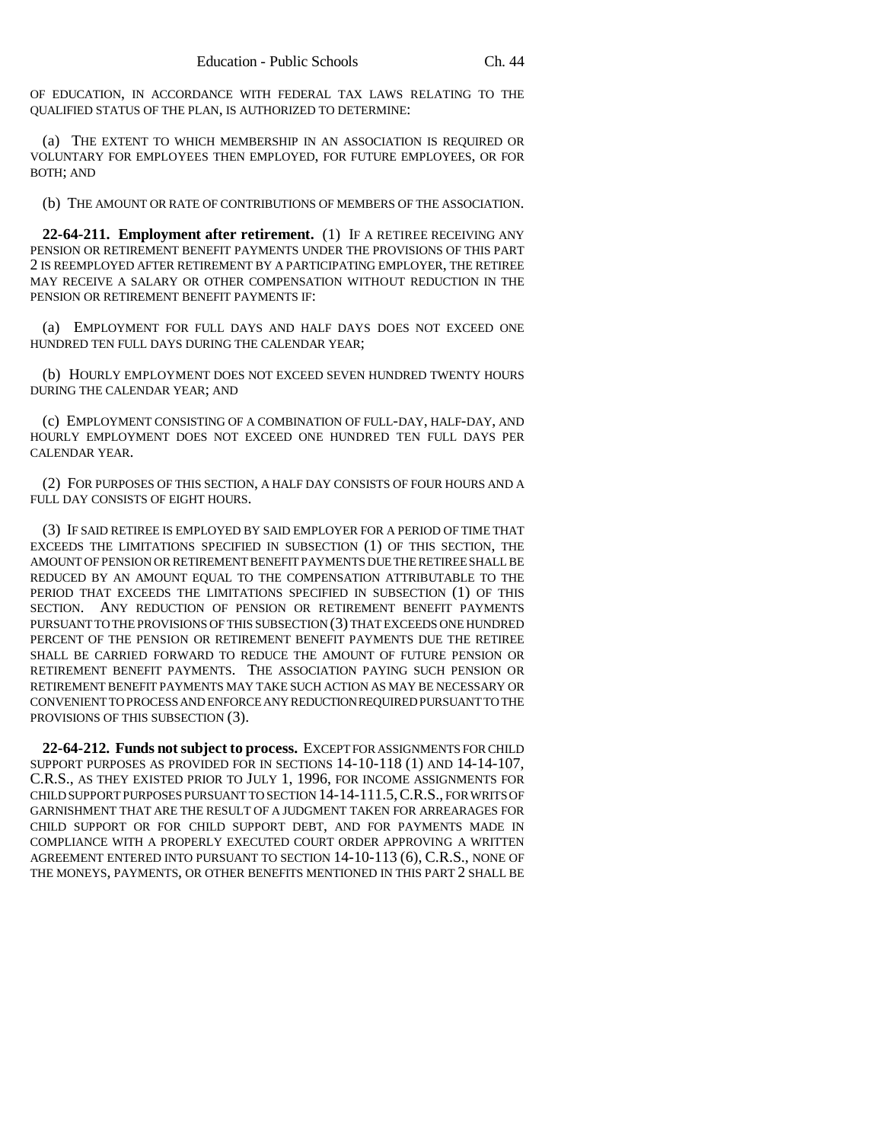OF EDUCATION, IN ACCORDANCE WITH FEDERAL TAX LAWS RELATING TO THE QUALIFIED STATUS OF THE PLAN, IS AUTHORIZED TO DETERMINE:

(a) THE EXTENT TO WHICH MEMBERSHIP IN AN ASSOCIATION IS REQUIRED OR VOLUNTARY FOR EMPLOYEES THEN EMPLOYED, FOR FUTURE EMPLOYEES, OR FOR BOTH; AND

(b) THE AMOUNT OR RATE OF CONTRIBUTIONS OF MEMBERS OF THE ASSOCIATION.

**22-64-211. Employment after retirement.** (1) IF A RETIREE RECEIVING ANY PENSION OR RETIREMENT BENEFIT PAYMENTS UNDER THE PROVISIONS OF THIS PART 2 IS REEMPLOYED AFTER RETIREMENT BY A PARTICIPATING EMPLOYER, THE RETIREE MAY RECEIVE A SALARY OR OTHER COMPENSATION WITHOUT REDUCTION IN THE PENSION OR RETIREMENT BENEFIT PAYMENTS IF:

(a) EMPLOYMENT FOR FULL DAYS AND HALF DAYS DOES NOT EXCEED ONE HUNDRED TEN FULL DAYS DURING THE CALENDAR YEAR;

(b) HOURLY EMPLOYMENT DOES NOT EXCEED SEVEN HUNDRED TWENTY HOURS DURING THE CALENDAR YEAR; AND

(c) EMPLOYMENT CONSISTING OF A COMBINATION OF FULL-DAY, HALF-DAY, AND HOURLY EMPLOYMENT DOES NOT EXCEED ONE HUNDRED TEN FULL DAYS PER CALENDAR YEAR.

(2) FOR PURPOSES OF THIS SECTION, A HALF DAY CONSISTS OF FOUR HOURS AND A FULL DAY CONSISTS OF EIGHT HOURS.

(3) IF SAID RETIREE IS EMPLOYED BY SAID EMPLOYER FOR A PERIOD OF TIME THAT EXCEEDS THE LIMITATIONS SPECIFIED IN SUBSECTION (1) OF THIS SECTION, THE AMOUNT OF PENSION OR RETIREMENT BENEFIT PAYMENTS DUE THE RETIREE SHALL BE REDUCED BY AN AMOUNT EQUAL TO THE COMPENSATION ATTRIBUTABLE TO THE PERIOD THAT EXCEEDS THE LIMITATIONS SPECIFIED IN SUBSECTION (1) OF THIS SECTION. ANY REDUCTION OF PENSION OR RETIREMENT BENEFIT PAYMENTS PURSUANT TO THE PROVISIONS OF THIS SUBSECTION (3) THAT EXCEEDS ONE HUNDRED PERCENT OF THE PENSION OR RETIREMENT BENEFIT PAYMENTS DUE THE RETIREE SHALL BE CARRIED FORWARD TO REDUCE THE AMOUNT OF FUTURE PENSION OR RETIREMENT BENEFIT PAYMENTS. THE ASSOCIATION PAYING SUCH PENSION OR RETIREMENT BENEFIT PAYMENTS MAY TAKE SUCH ACTION AS MAY BE NECESSARY OR CONVENIENT TO PROCESS AND ENFORCE ANY REDUCTION REQUIRED PURSUANT TO THE PROVISIONS OF THIS SUBSECTION (3).

**22-64-212. Funds not subject to process.** EXCEPT FOR ASSIGNMENTS FOR CHILD SUPPORT PURPOSES AS PROVIDED FOR IN SECTIONS 14-10-118 (1) AND 14-14-107, C.R.S., AS THEY EXISTED PRIOR TO JULY 1, 1996, FOR INCOME ASSIGNMENTS FOR CHILD SUPPORT PURPOSES PURSUANT TO SECTION 14-14-111.5,C.R.S., FOR WRITS OF GARNISHMENT THAT ARE THE RESULT OF A JUDGMENT TAKEN FOR ARREARAGES FOR CHILD SUPPORT OR FOR CHILD SUPPORT DEBT, AND FOR PAYMENTS MADE IN COMPLIANCE WITH A PROPERLY EXECUTED COURT ORDER APPROVING A WRITTEN AGREEMENT ENTERED INTO PURSUANT TO SECTION 14-10-113 (6), C.R.S., NONE OF THE MONEYS, PAYMENTS, OR OTHER BENEFITS MENTIONED IN THIS PART 2 SHALL BE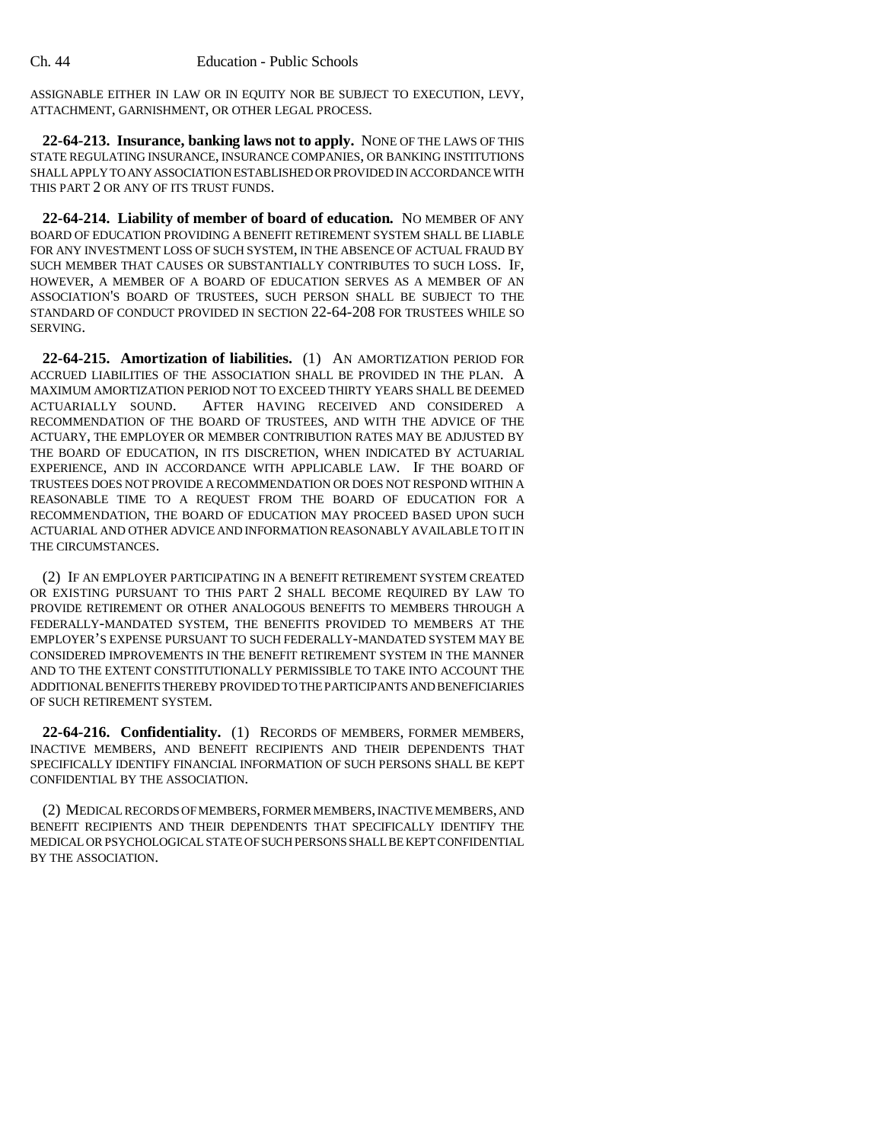ASSIGNABLE EITHER IN LAW OR IN EQUITY NOR BE SUBJECT TO EXECUTION, LEVY, ATTACHMENT, GARNISHMENT, OR OTHER LEGAL PROCESS.

**22-64-213. Insurance, banking laws not to apply.** NONE OF THE LAWS OF THIS STATE REGULATING INSURANCE, INSURANCE COMPANIES, OR BANKING INSTITUTIONS SHALL APPLY TO ANY ASSOCIATION ESTABLISHED OR PROVIDED IN ACCORDANCE WITH THIS PART 2 OR ANY OF ITS TRUST FUNDS.

**22-64-214. Liability of member of board of education.** NO MEMBER OF ANY BOARD OF EDUCATION PROVIDING A BENEFIT RETIREMENT SYSTEM SHALL BE LIABLE FOR ANY INVESTMENT LOSS OF SUCH SYSTEM, IN THE ABSENCE OF ACTUAL FRAUD BY SUCH MEMBER THAT CAUSES OR SUBSTANTIALLY CONTRIBUTES TO SUCH LOSS. IF, HOWEVER, A MEMBER OF A BOARD OF EDUCATION SERVES AS A MEMBER OF AN ASSOCIATION'S BOARD OF TRUSTEES, SUCH PERSON SHALL BE SUBJECT TO THE STANDARD OF CONDUCT PROVIDED IN SECTION 22-64-208 FOR TRUSTEES WHILE SO SERVING.

**22-64-215. Amortization of liabilities.** (1) AN AMORTIZATION PERIOD FOR ACCRUED LIABILITIES OF THE ASSOCIATION SHALL BE PROVIDED IN THE PLAN. A MAXIMUM AMORTIZATION PERIOD NOT TO EXCEED THIRTY YEARS SHALL BE DEEMED ACTUARIALLY SOUND. AFTER HAVING RECEIVED AND CONSIDERED A RECOMMENDATION OF THE BOARD OF TRUSTEES, AND WITH THE ADVICE OF THE ACTUARY, THE EMPLOYER OR MEMBER CONTRIBUTION RATES MAY BE ADJUSTED BY THE BOARD OF EDUCATION, IN ITS DISCRETION, WHEN INDICATED BY ACTUARIAL EXPERIENCE, AND IN ACCORDANCE WITH APPLICABLE LAW. IF THE BOARD OF TRUSTEES DOES NOT PROVIDE A RECOMMENDATION OR DOES NOT RESPOND WITHIN A REASONABLE TIME TO A REQUEST FROM THE BOARD OF EDUCATION FOR A RECOMMENDATION, THE BOARD OF EDUCATION MAY PROCEED BASED UPON SUCH ACTUARIAL AND OTHER ADVICE AND INFORMATION REASONABLY AVAILABLE TO IT IN THE CIRCUMSTANCES.

(2) IF AN EMPLOYER PARTICIPATING IN A BENEFIT RETIREMENT SYSTEM CREATED OR EXISTING PURSUANT TO THIS PART 2 SHALL BECOME REQUIRED BY LAW TO PROVIDE RETIREMENT OR OTHER ANALOGOUS BENEFITS TO MEMBERS THROUGH A FEDERALLY-MANDATED SYSTEM, THE BENEFITS PROVIDED TO MEMBERS AT THE EMPLOYER'S EXPENSE PURSUANT TO SUCH FEDERALLY-MANDATED SYSTEM MAY BE CONSIDERED IMPROVEMENTS IN THE BENEFIT RETIREMENT SYSTEM IN THE MANNER AND TO THE EXTENT CONSTITUTIONALLY PERMISSIBLE TO TAKE INTO ACCOUNT THE ADDITIONAL BENEFITS THEREBY PROVIDED TO THE PARTICIPANTS AND BENEFICIARIES OF SUCH RETIREMENT SYSTEM.

**22-64-216. Confidentiality.** (1) RECORDS OF MEMBERS, FORMER MEMBERS, INACTIVE MEMBERS, AND BENEFIT RECIPIENTS AND THEIR DEPENDENTS THAT SPECIFICALLY IDENTIFY FINANCIAL INFORMATION OF SUCH PERSONS SHALL BE KEPT CONFIDENTIAL BY THE ASSOCIATION.

(2) MEDICAL RECORDS OF MEMBERS, FORMER MEMBERS, INACTIVE MEMBERS, AND BENEFIT RECIPIENTS AND THEIR DEPENDENTS THAT SPECIFICALLY IDENTIFY THE MEDICAL OR PSYCHOLOGICAL STATE OF SUCH PERSONS SHALL BE KEPT CONFIDENTIAL BY THE ASSOCIATION.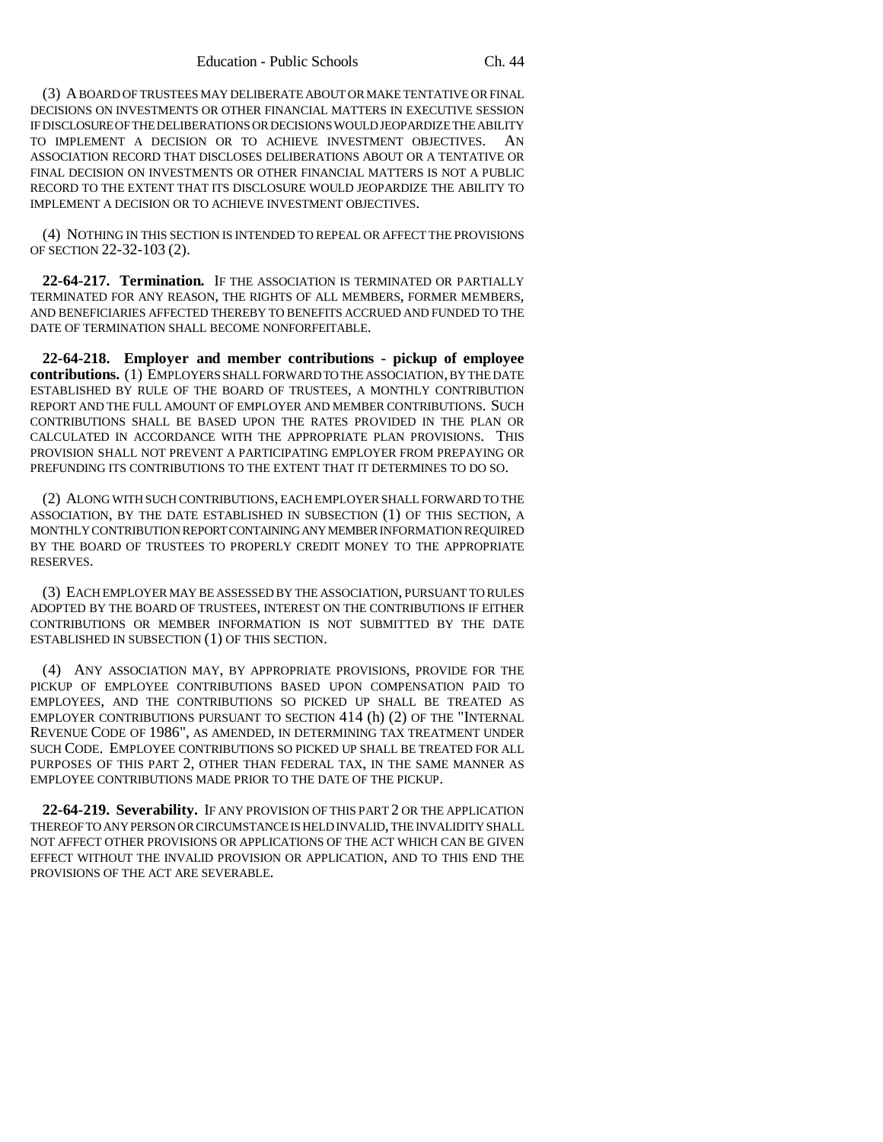(3) A BOARD OF TRUSTEES MAY DELIBERATE ABOUT OR MAKE TENTATIVE OR FINAL DECISIONS ON INVESTMENTS OR OTHER FINANCIAL MATTERS IN EXECUTIVE SESSION IF DISCLOSURE OF THE DELIBERATIONS OR DECISIONS WOULD JEOPARDIZE THE ABILITY TO IMPLEMENT A DECISION OR TO ACHIEVE INVESTMENT OBJECTIVES. AN ASSOCIATION RECORD THAT DISCLOSES DELIBERATIONS ABOUT OR A TENTATIVE OR FINAL DECISION ON INVESTMENTS OR OTHER FINANCIAL MATTERS IS NOT A PUBLIC RECORD TO THE EXTENT THAT ITS DISCLOSURE WOULD JEOPARDIZE THE ABILITY TO IMPLEMENT A DECISION OR TO ACHIEVE INVESTMENT OBJECTIVES.

(4) NOTHING IN THIS SECTION IS INTENDED TO REPEAL OR AFFECT THE PROVISIONS OF SECTION 22-32-103 (2).

**22-64-217. Termination.** IF THE ASSOCIATION IS TERMINATED OR PARTIALLY TERMINATED FOR ANY REASON, THE RIGHTS OF ALL MEMBERS, FORMER MEMBERS, AND BENEFICIARIES AFFECTED THEREBY TO BENEFITS ACCRUED AND FUNDED TO THE DATE OF TERMINATION SHALL BECOME NONFORFEITABLE.

**22-64-218. Employer and member contributions - pickup of employee contributions.** (1) EMPLOYERS SHALL FORWARD TO THE ASSOCIATION, BY THE DATE ESTABLISHED BY RULE OF THE BOARD OF TRUSTEES, A MONTHLY CONTRIBUTION REPORT AND THE FULL AMOUNT OF EMPLOYER AND MEMBER CONTRIBUTIONS. SUCH CONTRIBUTIONS SHALL BE BASED UPON THE RATES PROVIDED IN THE PLAN OR CALCULATED IN ACCORDANCE WITH THE APPROPRIATE PLAN PROVISIONS. THIS PROVISION SHALL NOT PREVENT A PARTICIPATING EMPLOYER FROM PREPAYING OR PREFUNDING ITS CONTRIBUTIONS TO THE EXTENT THAT IT DETERMINES TO DO SO.

(2) ALONG WITH SUCH CONTRIBUTIONS, EACH EMPLOYER SHALL FORWARD TO THE ASSOCIATION, BY THE DATE ESTABLISHED IN SUBSECTION (1) OF THIS SECTION, A MONTHLY CONTRIBUTION REPORT CONTAINING ANY MEMBER INFORMATION REQUIRED BY THE BOARD OF TRUSTEES TO PROPERLY CREDIT MONEY TO THE APPROPRIATE RESERVES.

(3) EACH EMPLOYER MAY BE ASSESSED BY THE ASSOCIATION, PURSUANT TO RULES ADOPTED BY THE BOARD OF TRUSTEES, INTEREST ON THE CONTRIBUTIONS IF EITHER CONTRIBUTIONS OR MEMBER INFORMATION IS NOT SUBMITTED BY THE DATE ESTABLISHED IN SUBSECTION (1) OF THIS SECTION.

(4) ANY ASSOCIATION MAY, BY APPROPRIATE PROVISIONS, PROVIDE FOR THE PICKUP OF EMPLOYEE CONTRIBUTIONS BASED UPON COMPENSATION PAID TO EMPLOYEES, AND THE CONTRIBUTIONS SO PICKED UP SHALL BE TREATED AS EMPLOYER CONTRIBUTIONS PURSUANT TO SECTION 414 (h) (2) OF THE "INTERNAL REVENUE CODE OF 1986", AS AMENDED, IN DETERMINING TAX TREATMENT UNDER SUCH CODE. EMPLOYEE CONTRIBUTIONS SO PICKED UP SHALL BE TREATED FOR ALL PURPOSES OF THIS PART 2, OTHER THAN FEDERAL TAX, IN THE SAME MANNER AS EMPLOYEE CONTRIBUTIONS MADE PRIOR TO THE DATE OF THE PICKUP.

**22-64-219. Severability.** IF ANY PROVISION OF THIS PART 2 OR THE APPLICATION THEREOF TO ANY PERSON OR CIRCUMSTANCE IS HELD INVALID, THE INVALIDITY SHALL NOT AFFECT OTHER PROVISIONS OR APPLICATIONS OF THE ACT WHICH CAN BE GIVEN EFFECT WITHOUT THE INVALID PROVISION OR APPLICATION, AND TO THIS END THE PROVISIONS OF THE ACT ARE SEVERABLE.